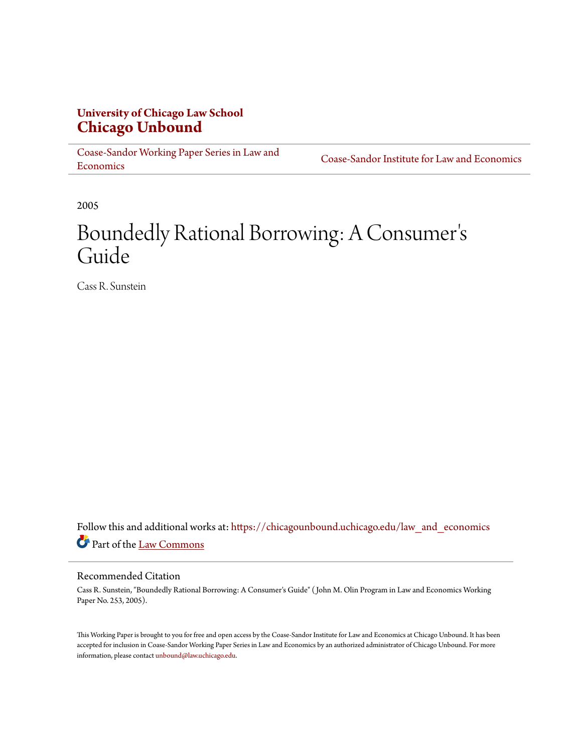# **University of Chicago Law School [Chicago Unbound](https://chicagounbound.uchicago.edu?utm_source=chicagounbound.uchicago.edu%2Flaw_and_economics%2F90&utm_medium=PDF&utm_campaign=PDFCoverPages)**

[Coase-Sandor Working Paper Series in Law and](https://chicagounbound.uchicago.edu/law_and_economics?utm_source=chicagounbound.uchicago.edu%2Flaw_and_economics%2F90&utm_medium=PDF&utm_campaign=PDFCoverPages) [Economics](https://chicagounbound.uchicago.edu/law_and_economics?utm_source=chicagounbound.uchicago.edu%2Flaw_and_economics%2F90&utm_medium=PDF&utm_campaign=PDFCoverPages)

[Coase-Sandor Institute for Law and Economics](https://chicagounbound.uchicago.edu/coase_sandor_institute?utm_source=chicagounbound.uchicago.edu%2Flaw_and_economics%2F90&utm_medium=PDF&utm_campaign=PDFCoverPages)

2005

# Boundedly Rational Borrowing: A Consumer ' s Guide

Cass R. Sunstein

Follow this and additional works at: [https://chicagounbound.uchicago.edu/law\\_and\\_economics](https://chicagounbound.uchicago.edu/law_and_economics?utm_source=chicagounbound.uchicago.edu%2Flaw_and_economics%2F90&utm_medium=PDF&utm_campaign=PDFCoverPages) Part of the [Law Commons](http://network.bepress.com/hgg/discipline/578?utm_source=chicagounbound.uchicago.edu%2Flaw_and_economics%2F90&utm_medium=PDF&utm_campaign=PDFCoverPages)

#### Recommended Citation

Cass R. Sunstein, "Boundedly Rational Borrowing: A Consumer's Guide" ( John M. Olin Program in Law and Economics Working Paper No. 253, 2005).

This Working Paper is brought to you for free and open access by the Coase-Sandor Institute for Law and Economics at Chicago Unbound. It has been accepted for inclusion in Coase-Sandor Working Paper Series in Law and Economics by an authorized administrator of Chicago Unbound. For more information, please contact [unbound@law.uchicago.edu.](mailto:unbound@law.uchicago.edu)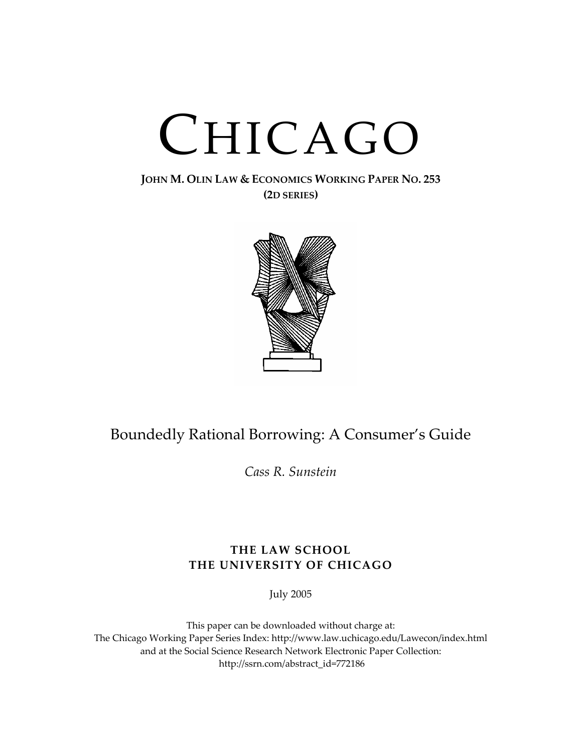# CHICAGO

### **JOHN M. OLIN LAW & ECONOMICS WORKING PAPER NO. 253 (2D SERIES)**



# Boundedly Rational Borrowing: A Consumer's Guide

*Cass R. Sunstein*

## **THE LAW SCHOOL THE UNIVERSITY OF CHICAGO**

July 2005

This paper can be downloaded without charge at: The Chicago Working Paper Series Index: http://www.law.uchicago.edu/Lawecon/index.html and at the Social Science Research Network Electronic Paper Collection: http://ssrn.com/abstract\_id=772186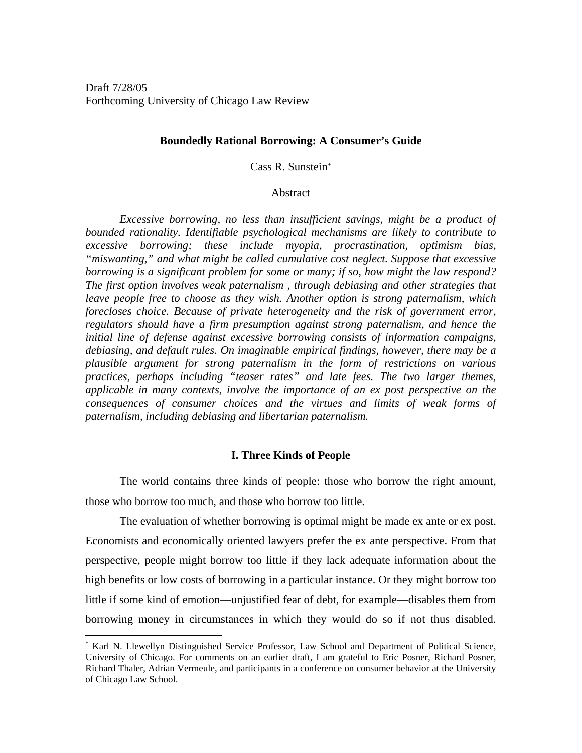#### **Boundedly Rational Borrowing: A Consumer's Guide**

Cass R. Sunstein\*

#### **Abstract**

*Excessive borrowing, no less than insufficient savings, might be a product of bounded rationality. Identifiable psychological mechanisms are likely to contribute to excessive borrowing; these include myopia, procrastination, optimism bias, "miswanting," and what might be called cumulative cost neglect. Suppose that excessive borrowing is a significant problem for some or many; if so, how might the law respond? The first option involves weak paternalism , through debiasing and other strategies that*  leave people free to choose as they wish. Another option is strong paternalism, which *forecloses choice. Because of private heterogeneity and the risk of government error, regulators should have a firm presumption against strong paternalism, and hence the initial line of defense against excessive borrowing consists of information campaigns, debiasing, and default rules. On imaginable empirical findings, however, there may be a plausible argument for strong paternalism in the form of restrictions on various practices, perhaps including "teaser rates" and late fees. The two larger themes, applicable in many contexts, involve the importance of an ex post perspective on the consequences of consumer choices and the virtues and limits of weak forms of paternalism, including debiasing and libertarian paternalism.* 

#### **I. Three Kinds of People**

 The world contains three kinds of people: those who borrow the right amount, those who borrow too much, and those who borrow too little.

The evaluation of whether borrowing is optimal might be made ex ante or ex post. Economists and economically oriented lawyers prefer the ex ante perspective. From that perspective, people might borrow too little if they lack adequate information about the high benefits or low costs of borrowing in a particular instance. Or they might borrow too little if some kind of emotion—unjustified fear of debt, for example—disables them from borrowing money in circumstances in which they would do so if not thus disabled.

<sup>\*</sup> Karl N. Llewellyn Distinguished Service Professor, Law School and Department of Political Science, University of Chicago. For comments on an earlier draft, I am grateful to Eric Posner, Richard Posner, Richard Thaler, Adrian Vermeule, and participants in a conference on consumer behavior at the University of Chicago Law School.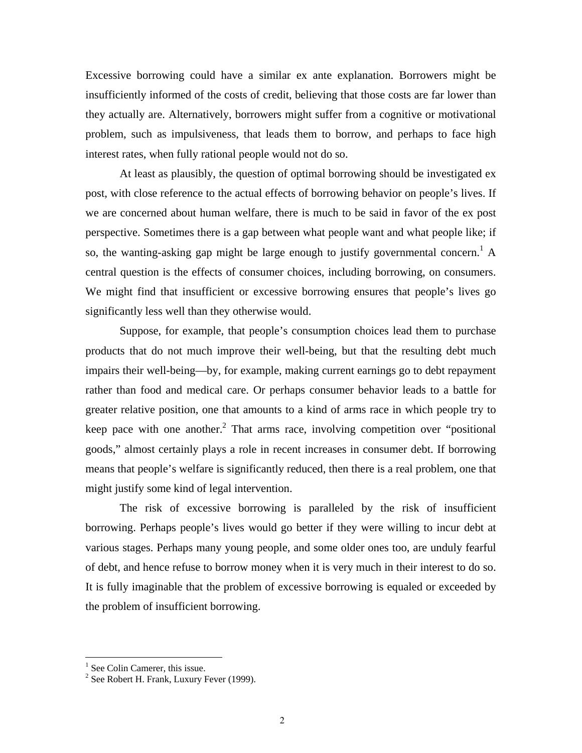Excessive borrowing could have a similar ex ante explanation. Borrowers might be insufficiently informed of the costs of credit, believing that those costs are far lower than they actually are. Alternatively, borrowers might suffer from a cognitive or motivational problem, such as impulsiveness, that leads them to borrow, and perhaps to face high interest rates, when fully rational people would not do so.

At least as plausibly, the question of optimal borrowing should be investigated ex post, with close reference to the actual effects of borrowing behavior on people's lives. If we are concerned about human welfare, there is much to be said in favor of the ex post perspective. Sometimes there is a gap between what people want and what people like; if so, the wanting-asking gap might be large enough to justify governmental concern.<sup>1</sup> A central question is the effects of consumer choices, including borrowing, on consumers. We might find that insufficient or excessive borrowing ensures that people's lives go significantly less well than they otherwise would.

Suppose, for example, that people's consumption choices lead them to purchase products that do not much improve their well-being, but that the resulting debt much impairs their well-being—by, for example, making current earnings go to debt repayment rather than food and medical care. Or perhaps consumer behavior leads to a battle for greater relative position, one that amounts to a kind of arms race in which people try to keep pace with one another.<sup>2</sup> That arms race, involving competition over "positional goods," almost certainly plays a role in recent increases in consumer debt. If borrowing means that people's welfare is significantly reduced, then there is a real problem, one that might justify some kind of legal intervention.

The risk of excessive borrowing is paralleled by the risk of insufficient borrowing. Perhaps people's lives would go better if they were willing to incur debt at various stages. Perhaps many young people, and some older ones too, are unduly fearful of debt, and hence refuse to borrow money when it is very much in their interest to do so. It is fully imaginable that the problem of excessive borrowing is equaled or exceeded by the problem of insufficient borrowing.

<sup>&</sup>lt;sup>1</sup> See Colin Camerer, this issue.

 $2^2$  See Robert H. Frank, Luxury Fever (1999).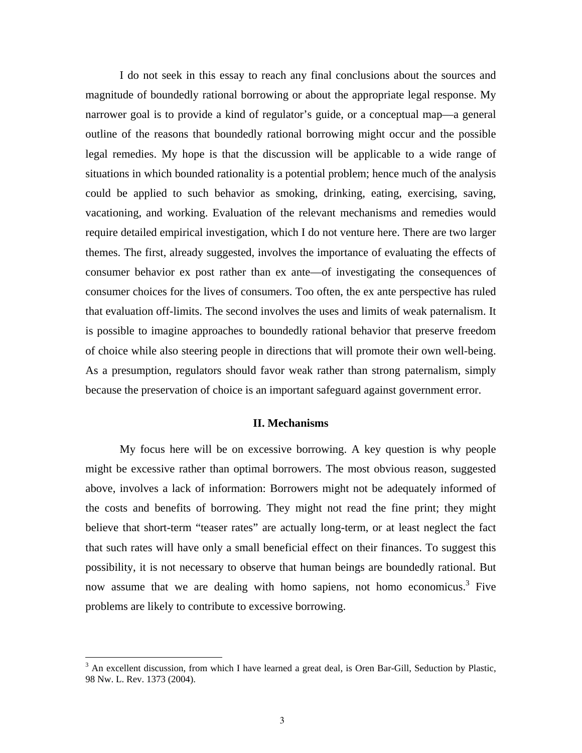I do not seek in this essay to reach any final conclusions about the sources and magnitude of boundedly rational borrowing or about the appropriate legal response. My narrower goal is to provide a kind of regulator's guide, or a conceptual map—a general outline of the reasons that boundedly rational borrowing might occur and the possible legal remedies. My hope is that the discussion will be applicable to a wide range of situations in which bounded rationality is a potential problem; hence much of the analysis could be applied to such behavior as smoking, drinking, eating, exercising, saving, vacationing, and working. Evaluation of the relevant mechanisms and remedies would require detailed empirical investigation, which I do not venture here. There are two larger themes. The first, already suggested, involves the importance of evaluating the effects of consumer behavior ex post rather than ex ante—of investigating the consequences of consumer choices for the lives of consumers. Too often, the ex ante perspective has ruled that evaluation off-limits. The second involves the uses and limits of weak paternalism. It is possible to imagine approaches to boundedly rational behavior that preserve freedom of choice while also steering people in directions that will promote their own well-being. As a presumption, regulators should favor weak rather than strong paternalism, simply because the preservation of choice is an important safeguard against government error.

#### **II. Mechanisms**

 My focus here will be on excessive borrowing. A key question is why people might be excessive rather than optimal borrowers. The most obvious reason, suggested above, involves a lack of information: Borrowers might not be adequately informed of the costs and benefits of borrowing. They might not read the fine print; they might believe that short-term "teaser rates" are actually long-term, or at least neglect the fact that such rates will have only a small beneficial effect on their finances. To suggest this possibility, it is not necessary to observe that human beings are boundedly rational. But now assume that we are dealing with homo sapiens, not homo economicus.<sup>3</sup> Five problems are likely to contribute to excessive borrowing.

1

 $3$  An excellent discussion, from which I have learned a great deal, is Oren Bar-Gill, Seduction by Plastic, 98 Nw. L. Rev. 1373 (2004).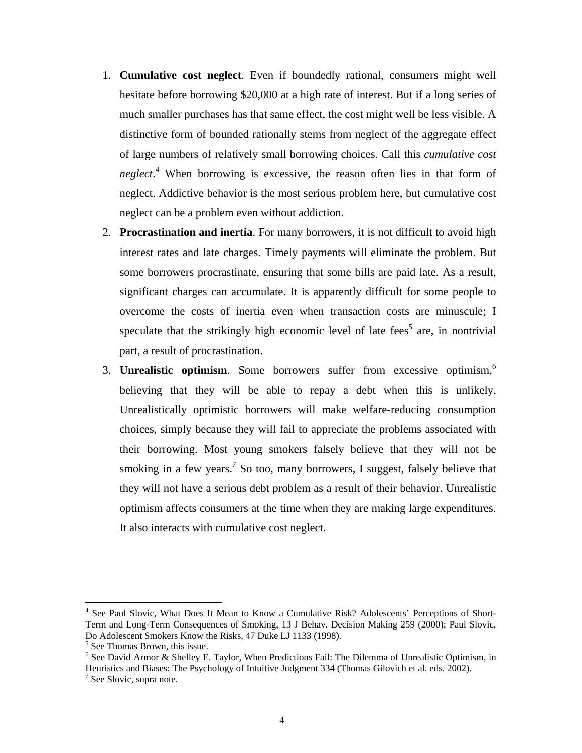- 1. **Cumulative cost neglect**. Even if boundedly rational, consumers might well hesitate before borrowing \$20,000 at a high rate of interest. But if a long series of much smaller purchases has that same effect, the cost might well be less visible. A distinctive form of bounded rationally stems from neglect of the aggregate effect of large numbers of relatively small borrowing choices. Call this *cumulative cost neglect*. 4 When borrowing is excessive, the reason often lies in that form of neglect. Addictive behavior is the most serious problem here, but cumulative cost neglect can be a problem even without addiction.
- 2. **Procrastination and inertia**. For many borrowers, it is not difficult to avoid high interest rates and late charges. Timely payments will eliminate the problem. But some borrowers procrastinate, ensuring that some bills are paid late. As a result, significant charges can accumulate. It is apparently difficult for some people to overcome the costs of inertia even when transaction costs are minuscule; I speculate that the strikingly high economic level of late fees<sup>5</sup> are, in nontrivial part, a result of procrastination.
- 3. **Unrealistic optimism**. Some borrowers suffer from excessive optimism,<sup>6</sup> believing that they will be able to repay a debt when this is unlikely. Unrealistically optimistic borrowers will make welfare-reducing consumption choices, simply because they will fail to appreciate the problems associated with their borrowing. Most young smokers falsely believe that they will not be smoking in a few years.<sup>7</sup> So too, many borrowers, I suggest, falsely believe that they will not have a serious debt problem as a result of their behavior. Unrealistic optimism affects consumers at the time when they are making large expenditures. It also interacts with cumulative cost neglect.

<sup>&</sup>lt;sup>4</sup> See Paul Slovic, What Does It Mean to Know a Cumulative Risk? Adolescents' Perceptions of Short-Term and Long-Term Consequences of Smoking, 13 J Behav. Decision Making 259 (2000); Paul Slovic, Do Adolescent Smokers Know the Risks, 47 Duke LJ 1133 (1998).

<sup>&</sup>lt;sup>5</sup> See Thomas Brown, this issue.

<sup>&</sup>lt;sup>6</sup> See David Armor & Shelley E. Taylor, When Predictions Fail: The Dilemma of Unrealistic Optimism, in Heuristics and Biases: The Psychology of Intuitive Judgment 334 (Thomas Gilovich et al. eds. 2002). 7  $<sup>7</sup>$  See Slovic, supra note.</sup>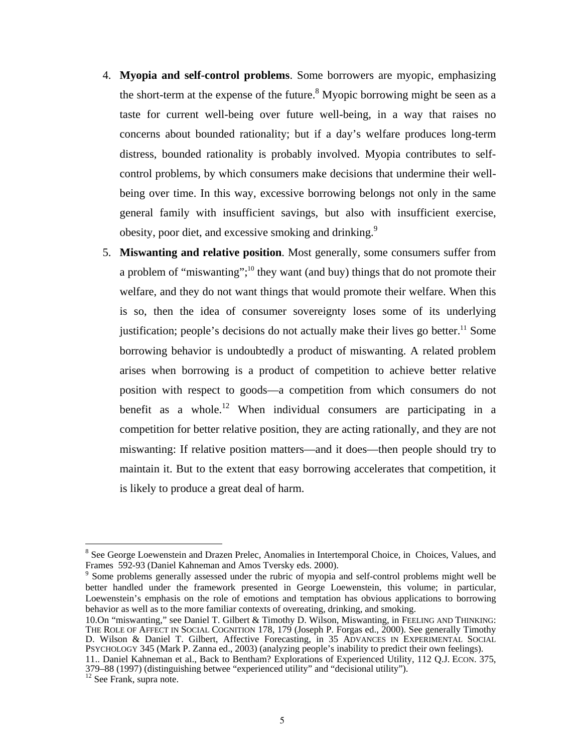- 4. **Myopia and self-control problems**. Some borrowers are myopic, emphasizing the short-term at the expense of the future.<sup>8</sup> Myopic borrowing might be seen as a taste for current well-being over future well-being, in a way that raises no concerns about bounded rationality; but if a day's welfare produces long-term distress, bounded rationality is probably involved. Myopia contributes to selfcontrol problems, by which consumers make decisions that undermine their wellbeing over time. In this way, excessive borrowing belongs not only in the same general family with insufficient savings, but also with insufficient exercise, obesity, poor diet, and excessive smoking and drinking.<sup>9</sup>
- 5. **Miswanting and relative position**. Most generally, some consumers suffer from a problem of "miswanting";<sup>10</sup> they want (and buy) things that do not promote their welfare, and they do not want things that would promote their welfare. When this is so, then the idea of consumer sovereignty loses some of its underlying justification; people's decisions do not actually make their lives go better.<sup>11</sup> Some borrowing behavior is undoubtedly a product of miswanting. A related problem arises when borrowing is a product of competition to achieve better relative position with respect to goods—a competition from which consumers do not benefit as a whole.<sup>12</sup> When individual consumers are participating in a competition for better relative position, they are acting rationally, and they are not miswanting: If relative position matters—and it does—then people should try to maintain it. But to the extent that easy borrowing accelerates that competition, it is likely to produce a great deal of harm.

10.On "miswanting," see Daniel T. Gilbert & Timothy D. Wilson, Miswanting, in FEELING AND THINKING: THE ROLE OF AFFECT IN SOCIAL COGNITION 178, 179 (Joseph P. Forgas ed., 2000). See generally Timothy D. Wilson & Daniel T. Gilbert, Affective Forecasting, in 35 ADVANCES IN EXPERIMENTAL SOCIAL PSYCHOLOGY 345 (Mark P. Zanna ed., 2003) (analyzing people's inability to predict their own feelings).

<sup>&</sup>lt;sup>8</sup> See George Loewenstein and Drazen Prelec, Anomalies in Intertemporal Choice, in Choices, Values, and Frames 592-93 (Daniel Kahneman and Amos Tversky eds. 2000).

<sup>9</sup> Some problems generally assessed under the rubric of myopia and self-control problems might well be better handled under the framework presented in George Loewenstein, this volume; in particular, Loewenstein's emphasis on the role of emotions and temptation has obvious applications to borrowing behavior as well as to the more familiar contexts of overeating, drinking, and smoking.

<sup>11..</sup> Daniel Kahneman et al., Back to Bentham? Explorations of Experienced Utility, 112 Q.J. ECON. 375, 379–88 (1997) (distinguishing betwee "experienced utility" and "decisional utility").

 $12$  See Frank, supra note.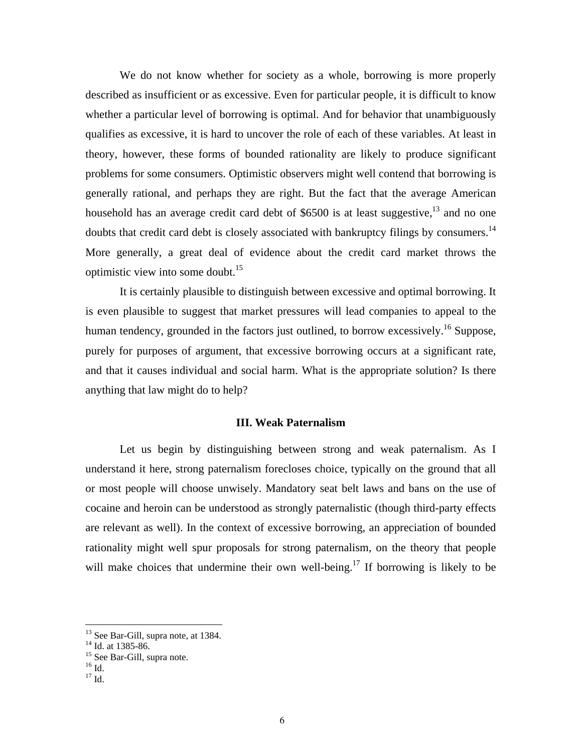We do not know whether for society as a whole, borrowing is more properly described as insufficient or as excessive. Even for particular people, it is difficult to know whether a particular level of borrowing is optimal. And for behavior that unambiguously qualifies as excessive, it is hard to uncover the role of each of these variables. At least in theory, however, these forms of bounded rationality are likely to produce significant problems for some consumers. Optimistic observers might well contend that borrowing is generally rational, and perhaps they are right. But the fact that the average American household has an average credit card debt of \$6500 is at least suggestive, $^{13}$  and no one doubts that credit card debt is closely associated with bankruptcy filings by consumers.<sup>14</sup> More generally, a great deal of evidence about the credit card market throws the optimistic view into some doubt.15

It is certainly plausible to distinguish between excessive and optimal borrowing. It is even plausible to suggest that market pressures will lead companies to appeal to the human tendency, grounded in the factors just outlined, to borrow excessively.<sup>16</sup> Suppose, purely for purposes of argument, that excessive borrowing occurs at a significant rate, and that it causes individual and social harm. What is the appropriate solution? Is there anything that law might do to help?

#### **III. Weak Paternalism**

Let us begin by distinguishing between strong and weak paternalism. As I understand it here, strong paternalism forecloses choice, typically on the ground that all or most people will choose unwisely. Mandatory seat belt laws and bans on the use of cocaine and heroin can be understood as strongly paternalistic (though third-party effects are relevant as well). In the context of excessive borrowing, an appreciation of bounded rationality might well spur proposals for strong paternalism, on the theory that people will make choices that undermine their own well-being.<sup>17</sup> If borrowing is likely to be

<sup>&</sup>lt;sup>13</sup> See Bar-Gill, supra note, at 1384.

 $14$  Id. at 1385-86.

<sup>&</sup>lt;sup>15</sup> See Bar-Gill, supra note.

 $16$  Id.

 $^{17}$  Id.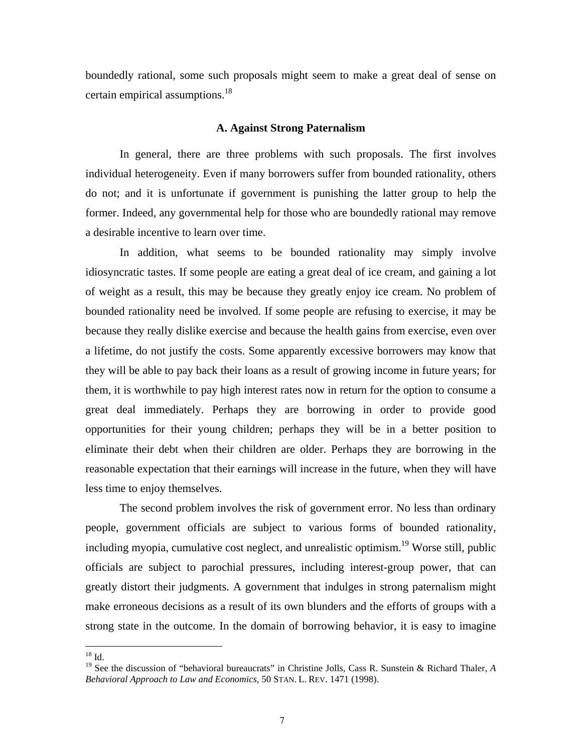boundedly rational, some such proposals might seem to make a great deal of sense on certain empirical assumptions.<sup>18</sup>

#### **A. Against Strong Paternalism**

In general, there are three problems with such proposals. The first involves individual heterogeneity. Even if many borrowers suffer from bounded rationality, others do not; and it is unfortunate if government is punishing the latter group to help the former. Indeed, any governmental help for those who are boundedly rational may remove a desirable incentive to learn over time.

In addition, what seems to be bounded rationality may simply involve idiosyncratic tastes. If some people are eating a great deal of ice cream, and gaining a lot of weight as a result, this may be because they greatly enjoy ice cream. No problem of bounded rationality need be involved. If some people are refusing to exercise, it may be because they really dislike exercise and because the health gains from exercise, even over a lifetime, do not justify the costs. Some apparently excessive borrowers may know that they will be able to pay back their loans as a result of growing income in future years; for them, it is worthwhile to pay high interest rates now in return for the option to consume a great deal immediately. Perhaps they are borrowing in order to provide good opportunities for their young children; perhaps they will be in a better position to eliminate their debt when their children are older. Perhaps they are borrowing in the reasonable expectation that their earnings will increase in the future, when they will have less time to enjoy themselves.

The second problem involves the risk of government error. No less than ordinary people, government officials are subject to various forms of bounded rationality, including myopia, cumulative cost neglect, and unrealistic optimism.<sup>19</sup> Worse still, public officials are subject to parochial pressures, including interest-group power, that can greatly distort their judgments. A government that indulges in strong paternalism might make erroneous decisions as a result of its own blunders and the efforts of groups with a strong state in the outcome. In the domain of borrowing behavior, it is easy to imagine

 $\overline{a}$  $^{18}$  Id.

<sup>&</sup>lt;sup>19</sup> See the discussion of "behavioral bureaucrats" in Christine Jolls, Cass R. Sunstein & Richard Thaler, *A Behavioral Approach to Law and Economics*, 50 STAN. L. REV. 1471 (1998).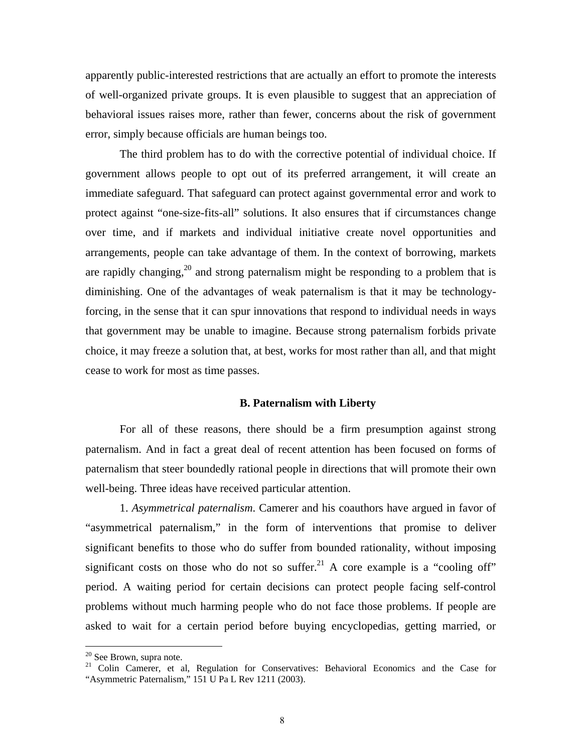apparently public-interested restrictions that are actually an effort to promote the interests of well-organized private groups. It is even plausible to suggest that an appreciation of behavioral issues raises more, rather than fewer, concerns about the risk of government error, simply because officials are human beings too.

The third problem has to do with the corrective potential of individual choice. If government allows people to opt out of its preferred arrangement, it will create an immediate safeguard. That safeguard can protect against governmental error and work to protect against "one-size-fits-all" solutions. It also ensures that if circumstances change over time, and if markets and individual initiative create novel opportunities and arrangements, people can take advantage of them. In the context of borrowing, markets are rapidly changing,<sup>20</sup> and strong paternalism might be responding to a problem that is diminishing. One of the advantages of weak paternalism is that it may be technologyforcing, in the sense that it can spur innovations that respond to individual needs in ways that government may be unable to imagine. Because strong paternalism forbids private choice, it may freeze a solution that, at best, works for most rather than all, and that might cease to work for most as time passes.

#### **B. Paternalism with Liberty**

For all of these reasons, there should be a firm presumption against strong paternalism. And in fact a great deal of recent attention has been focused on forms of paternalism that steer boundedly rational people in directions that will promote their own well-being. Three ideas have received particular attention.

1. *Asymmetrical paternalism*. Camerer and his coauthors have argued in favor of "asymmetrical paternalism," in the form of interventions that promise to deliver significant benefits to those who do suffer from bounded rationality, without imposing significant costs on those who do not so suffer.<sup>21</sup> A core example is a "cooling off" period. A waiting period for certain decisions can protect people facing self-control problems without much harming people who do not face those problems. If people are asked to wait for a certain period before buying encyclopedias, getting married, or

<sup>&</sup>lt;sup>20</sup> See Brown, supra note.

<sup>&</sup>lt;sup>21</sup> Colin Camerer, et al, Regulation for Conservatives: Behavioral Economics and the Case for "Asymmetric Paternalism," 151 U Pa L Rev 1211 (2003).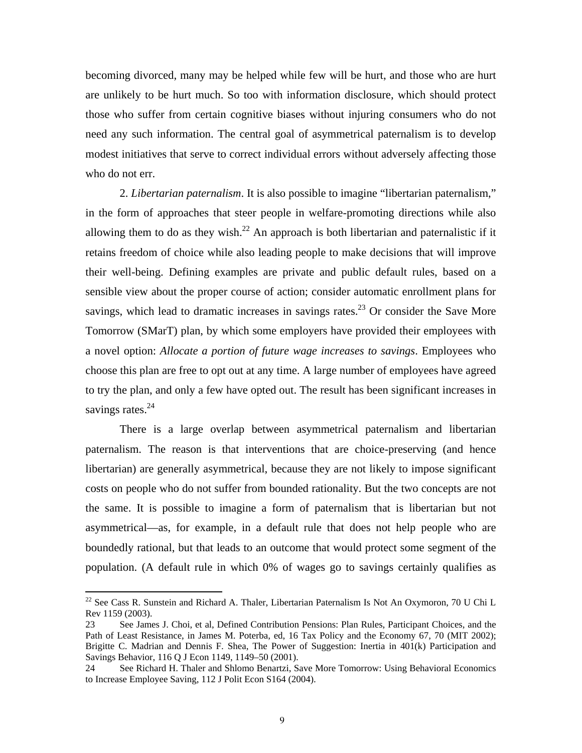becoming divorced, many may be helped while few will be hurt, and those who are hurt are unlikely to be hurt much. So too with information disclosure, which should protect those who suffer from certain cognitive biases without injuring consumers who do not need any such information. The central goal of asymmetrical paternalism is to develop modest initiatives that serve to correct individual errors without adversely affecting those who do not err.

2. *Libertarian paternalism*. It is also possible to imagine "libertarian paternalism," in the form of approaches that steer people in welfare-promoting directions while also allowing them to do as they wish.<sup>22</sup> An approach is both libertarian and paternalistic if it retains freedom of choice while also leading people to make decisions that will improve their well-being. Defining examples are private and public default rules, based on a sensible view about the proper course of action; consider automatic enrollment plans for savings, which lead to dramatic increases in savings rates.<sup>23</sup> Or consider the Save More Tomorrow (SMarT) plan, by which some employers have provided their employees with a novel option: *Allocate a portion of future wage increases to savings*. Employees who choose this plan are free to opt out at any time. A large number of employees have agreed to try the plan, and only a few have opted out. The result has been significant increases in savings rates. $^{24}$ 

There is a large overlap between asymmetrical paternalism and libertarian paternalism. The reason is that interventions that are choice-preserving (and hence libertarian) are generally asymmetrical, because they are not likely to impose significant costs on people who do not suffer from bounded rationality. But the two concepts are not the same. It is possible to imagine a form of paternalism that is libertarian but not asymmetrical—as, for example, in a default rule that does not help people who are boundedly rational, but that leads to an outcome that would protect some segment of the population. (A default rule in which 0% of wages go to savings certainly qualifies as

 $^{22}$  See Cass R. Sunstein and Richard A. Thaler, Libertarian Paternalism Is Not An Oxymoron, 70 U Chi L Rev 1159 (2003).

<sup>23</sup> See James J. Choi, et al, Defined Contribution Pensions: Plan Rules, Participant Choices, and the Path of Least Resistance, in James M. Poterba, ed, 16 Tax Policy and the Economy 67, 70 (MIT 2002); Brigitte C. Madrian and Dennis F. Shea, The Power of Suggestion: Inertia in 401(k) Participation and Savings Behavior, 116 Q J Econ 1149, 1149–50 (2001).

<sup>24</sup> See Richard H. Thaler and Shlomo Benartzi, Save More Tomorrow: Using Behavioral Economics to Increase Employee Saving, 112 J Polit Econ S164 (2004).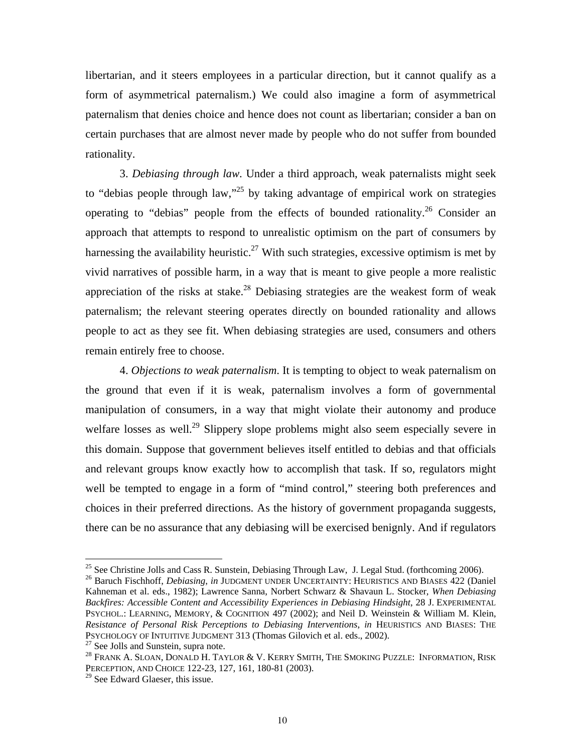libertarian, and it steers employees in a particular direction, but it cannot qualify as a form of asymmetrical paternalism.) We could also imagine a form of asymmetrical paternalism that denies choice and hence does not count as libertarian; consider a ban on certain purchases that are almost never made by people who do not suffer from bounded rationality.

3. *Debiasing through law*. Under a third approach, weak paternalists might seek to "debias people through law,"<sup>25</sup> by taking advantage of empirical work on strategies operating to "debias" people from the effects of bounded rationality.<sup>26</sup> Consider an approach that attempts to respond to unrealistic optimism on the part of consumers by harnessing the availability heuristic.<sup>27</sup> With such strategies, excessive optimism is met by vivid narratives of possible harm, in a way that is meant to give people a more realistic appreciation of the risks at stake.<sup>28</sup> Debiasing strategies are the weakest form of weak paternalism; the relevant steering operates directly on bounded rationality and allows people to act as they see fit. When debiasing strategies are used, consumers and others remain entirely free to choose.

4. *Objections to weak paternalism*. It is tempting to object to weak paternalism on the ground that even if it is weak, paternalism involves a form of governmental manipulation of consumers, in a way that might violate their autonomy and produce welfare losses as well.<sup>29</sup> Slippery slope problems might also seem especially severe in this domain. Suppose that government believes itself entitled to debias and that officials and relevant groups know exactly how to accomplish that task. If so, regulators might well be tempted to engage in a form of "mind control," steering both preferences and choices in their preferred directions. As the history of government propaganda suggests, there can be no assurance that any debiasing will be exercised benignly. And if regulators

<sup>&</sup>lt;sup>25</sup> See Christine Jolls and Cass R. Sunstein, Debiasing Through Law, J. Legal Stud. (forthcoming 2006).<br><sup>26</sup> Baruch Fischhoff, *Debiasing*, *in* JUDGMENT UNDER UNCERTAINTY: HEURISTICS AND BIASES 422 (Daniel Kahneman et al. eds., 1982); Lawrence Sanna, Norbert Schwarz & Shavaun L. Stocker, *When Debiasing Backfires: Accessible Content and Accessibility Experiences in Debiasing Hindsight*, 28 J. EXPERIMENTAL PSYCHOL.: LEARNING, MEMORY, & COGNITION 497 (2002); and Neil D. Weinstein & William M. Klein, *Resistance of Personal Risk Perceptions to Debiasing Interventions*, *in* HEURISTICS AND BIASES: THE PSYCHOLOGY OF INTUITIVE JUDGMENT 313 (Thomas Gilovich et al. eds., 2002).<br><sup>27</sup> See Jolls and Sunstein, supra note.

<sup>&</sup>lt;sup>28</sup> FRANK A. SLOAN, DONALD H. TAYLOR & V. KERRY SMITH, THE SMOKING PUZZLE: INFORMATION, RISK PERCEPTION, AND CHOICE 122-23, 127, 161, 180-81 (2003).

 $29$  See Edward Glaeser, this issue.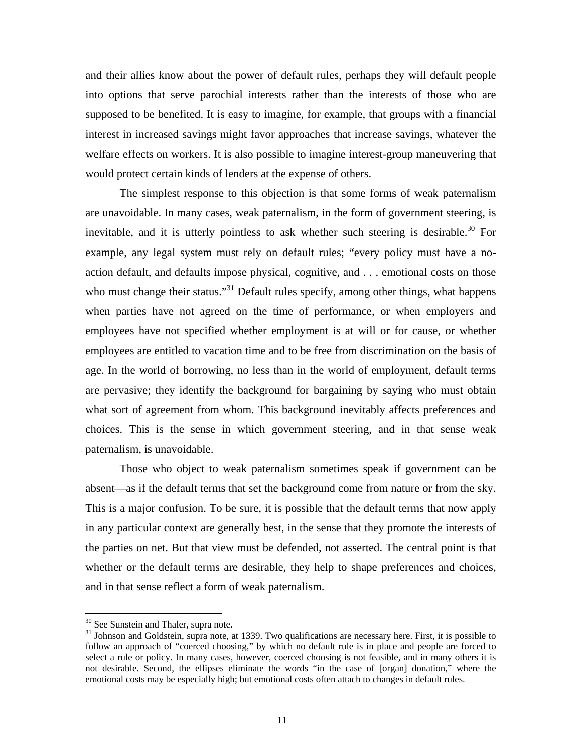and their allies know about the power of default rules, perhaps they will default people into options that serve parochial interests rather than the interests of those who are supposed to be benefited. It is easy to imagine, for example, that groups with a financial interest in increased savings might favor approaches that increase savings, whatever the welfare effects on workers. It is also possible to imagine interest-group maneuvering that would protect certain kinds of lenders at the expense of others.

The simplest response to this objection is that some forms of weak paternalism are unavoidable. In many cases, weak paternalism, in the form of government steering, is inevitable, and it is utterly pointless to ask whether such steering is desirable.<sup>30</sup> For example, any legal system must rely on default rules; "every policy must have a noaction default, and defaults impose physical, cognitive, and . . . emotional costs on those who must change their status."<sup>31</sup> Default rules specify, among other things, what happens when parties have not agreed on the time of performance, or when employers and employees have not specified whether employment is at will or for cause, or whether employees are entitled to vacation time and to be free from discrimination on the basis of age. In the world of borrowing, no less than in the world of employment, default terms are pervasive; they identify the background for bargaining by saying who must obtain what sort of agreement from whom. This background inevitably affects preferences and choices. This is the sense in which government steering, and in that sense weak paternalism, is unavoidable.

Those who object to weak paternalism sometimes speak if government can be absent—as if the default terms that set the background come from nature or from the sky. This is a major confusion. To be sure, it is possible that the default terms that now apply in any particular context are generally best, in the sense that they promote the interests of the parties on net. But that view must be defended, not asserted. The central point is that whether or the default terms are desirable, they help to shape preferences and choices, and in that sense reflect a form of weak paternalism.

<sup>&</sup>lt;sup>30</sup> See Sunstein and Thaler, supra note.

<sup>&</sup>lt;sup>31</sup> Johnson and Goldstein, supra note, at 1339. Two qualifications are necessary here. First, it is possible to follow an approach of "coerced choosing," by which no default rule is in place and people are forced to select a rule or policy. In many cases, however, coerced choosing is not feasible, and in many others it is not desirable. Second, the ellipses eliminate the words "in the case of [organ] donation," where the emotional costs may be especially high; but emotional costs often attach to changes in default rules.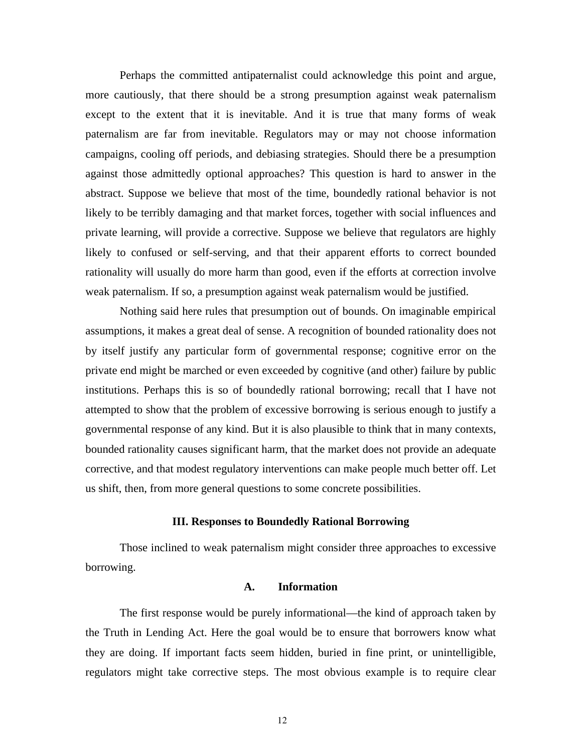Perhaps the committed antipaternalist could acknowledge this point and argue, more cautiously, that there should be a strong presumption against weak paternalism except to the extent that it is inevitable. And it is true that many forms of weak paternalism are far from inevitable. Regulators may or may not choose information campaigns, cooling off periods, and debiasing strategies. Should there be a presumption against those admittedly optional approaches? This question is hard to answer in the abstract. Suppose we believe that most of the time, boundedly rational behavior is not likely to be terribly damaging and that market forces, together with social influences and private learning, will provide a corrective. Suppose we believe that regulators are highly likely to confused or self-serving, and that their apparent efforts to correct bounded rationality will usually do more harm than good, even if the efforts at correction involve weak paternalism. If so, a presumption against weak paternalism would be justified.

Nothing said here rules that presumption out of bounds. On imaginable empirical assumptions, it makes a great deal of sense. A recognition of bounded rationality does not by itself justify any particular form of governmental response; cognitive error on the private end might be marched or even exceeded by cognitive (and other) failure by public institutions. Perhaps this is so of boundedly rational borrowing; recall that I have not attempted to show that the problem of excessive borrowing is serious enough to justify a governmental response of any kind. But it is also plausible to think that in many contexts, bounded rationality causes significant harm, that the market does not provide an adequate corrective, and that modest regulatory interventions can make people much better off. Let us shift, then, from more general questions to some concrete possibilities.

#### **III. Responses to Boundedly Rational Borrowing**

Those inclined to weak paternalism might consider three approaches to excessive borrowing.

#### **A. Information**

The first response would be purely informational—the kind of approach taken by the Truth in Lending Act. Here the goal would be to ensure that borrowers know what they are doing. If important facts seem hidden, buried in fine print, or unintelligible, regulators might take corrective steps. The most obvious example is to require clear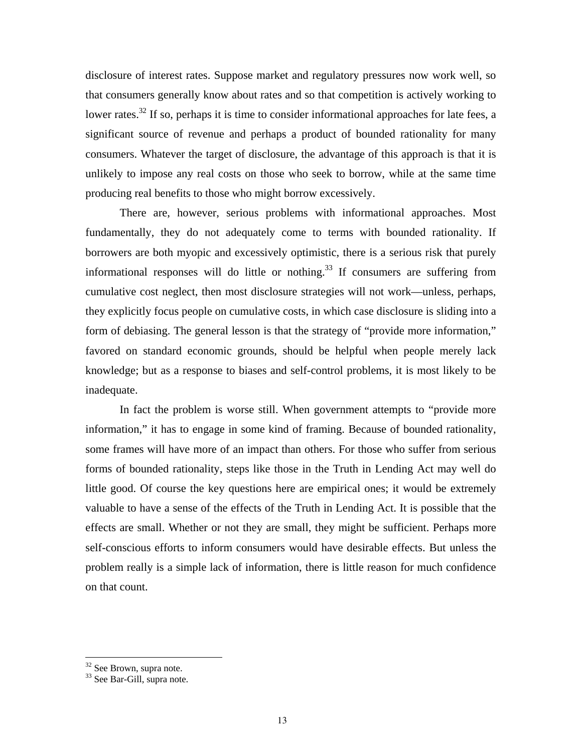disclosure of interest rates. Suppose market and regulatory pressures now work well, so that consumers generally know about rates and so that competition is actively working to lower rates.<sup>32</sup> If so, perhaps it is time to consider informational approaches for late fees, a significant source of revenue and perhaps a product of bounded rationality for many consumers. Whatever the target of disclosure, the advantage of this approach is that it is unlikely to impose any real costs on those who seek to borrow, while at the same time producing real benefits to those who might borrow excessively.

There are, however, serious problems with informational approaches. Most fundamentally, they do not adequately come to terms with bounded rationality. If borrowers are both myopic and excessively optimistic, there is a serious risk that purely informational responses will do little or nothing.<sup>33</sup> If consumers are suffering from cumulative cost neglect, then most disclosure strategies will not work—unless, perhaps, they explicitly focus people on cumulative costs, in which case disclosure is sliding into a form of debiasing. The general lesson is that the strategy of "provide more information," favored on standard economic grounds, should be helpful when people merely lack knowledge; but as a response to biases and self-control problems, it is most likely to be inadequate.

In fact the problem is worse still. When government attempts to "provide more information," it has to engage in some kind of framing. Because of bounded rationality, some frames will have more of an impact than others. For those who suffer from serious forms of bounded rationality, steps like those in the Truth in Lending Act may well do little good. Of course the key questions here are empirical ones; it would be extremely valuable to have a sense of the effects of the Truth in Lending Act. It is possible that the effects are small. Whether or not they are small, they might be sufficient. Perhaps more self-conscious efforts to inform consumers would have desirable effects. But unless the problem really is a simple lack of information, there is little reason for much confidence on that count.

<sup>&</sup>lt;sup>32</sup> See Brown, supra note.

<sup>&</sup>lt;sup>33</sup> See Bar-Gill, supra note.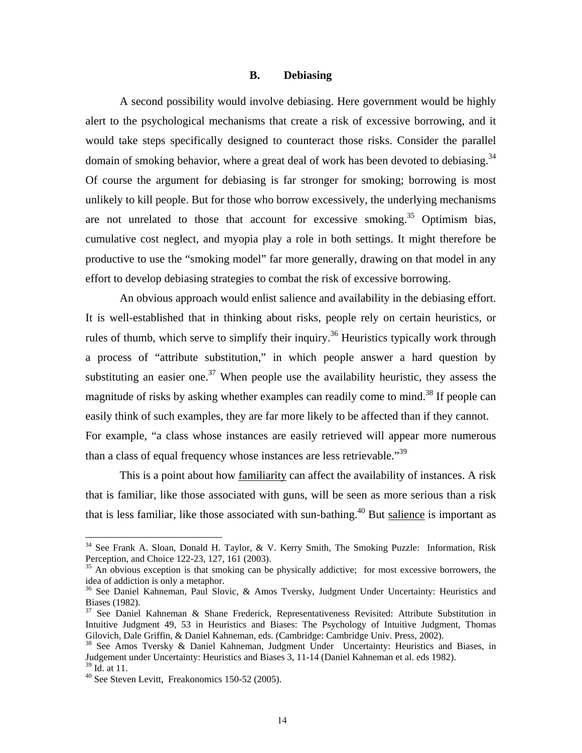#### **B. Debiasing**

A second possibility would involve debiasing. Here government would be highly alert to the psychological mechanisms that create a risk of excessive borrowing, and it would take steps specifically designed to counteract those risks. Consider the parallel domain of smoking behavior, where a great deal of work has been devoted to debiasing.<sup>34</sup> Of course the argument for debiasing is far stronger for smoking; borrowing is most unlikely to kill people. But for those who borrow excessively, the underlying mechanisms are not unrelated to those that account for excessive smoking.<sup>35</sup> Optimism bias, cumulative cost neglect, and myopia play a role in both settings. It might therefore be productive to use the "smoking model" far more generally, drawing on that model in any effort to develop debiasing strategies to combat the risk of excessive borrowing.

An obvious approach would enlist salience and availability in the debiasing effort. It is well-established that in thinking about risks, people rely on certain heuristics, or rules of thumb, which serve to simplify their inquiry.<sup>36</sup> Heuristics typically work through a process of "attribute substitution," in which people answer a hard question by substituting an easier one.<sup>37</sup> When people use the availability heuristic, they assess the magnitude of risks by asking whether examples can readily come to mind.<sup>38</sup> If people can easily think of such examples, they are far more likely to be affected than if they cannot. For example, "a class whose instances are easily retrieved will appear more numerous than a class of equal frequency whose instances are less retrievable.<sup>39</sup>

This is a point about how familiarity can affect the availability of instances. A risk that is familiar, like those associated with guns, will be seen as more serious than a risk that is less familiar, like those associated with sun-bathing.<sup>40</sup> But salience is important as

 $34$  See Frank A. Sloan, Donald H. Taylor, & V. Kerry Smith, The Smoking Puzzle: Information, Risk Perception, and Choice 122-23, 127, 161 (2003).

<sup>&</sup>lt;sup>35</sup> An obvious exception is that smoking can be physically addictive; for most excessive borrowers, the idea of addiction is only a metaphor.

<sup>&</sup>lt;sup>36</sup> See Daniel Kahneman, Paul Slovic, & Amos Tversky, Judgment Under Uncertainty: Heuristics and Biases (1982).

<sup>37</sup> See Daniel Kahneman & Shane Frederick, Representativeness Revisited: Attribute Substitution in Intuitive Judgment 49, 53 in Heuristics and Biases: The Psychology of Intuitive Judgment, Thomas Gilovich, Dale Griffin, & Daniel Kahneman, eds. (Cambridge: Cambridge Univ. Press, 2002).<br><sup>38</sup> See Amos Tversky & Daniel Kahneman, Judgment Under Uncertainty: Heuristics and Biases, in

Judgement under Uncertainty: Heuristics and Biases 3, 11-14 (Daniel Kahneman et al. eds 1982).  $39$  Id. at 11.

<sup>40</sup> See Steven Levitt, Freakonomics 150-52 (2005).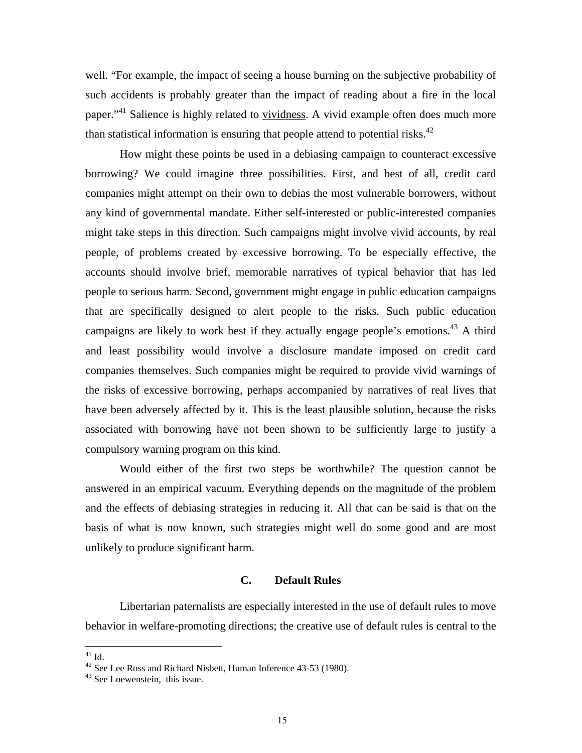well. "For example, the impact of seeing a house burning on the subjective probability of such accidents is probably greater than the impact of reading about a fire in the local paper."<sup>41</sup> Salience is highly related to vividness. A vivid example often does much more than statistical information is ensuring that people attend to potential risks. $42$ 

How might these points be used in a debiasing campaign to counteract excessive borrowing? We could imagine three possibilities. First, and best of all, credit card companies might attempt on their own to debias the most vulnerable borrowers, without any kind of governmental mandate. Either self-interested or public-interested companies might take steps in this direction. Such campaigns might involve vivid accounts, by real people, of problems created by excessive borrowing. To be especially effective, the accounts should involve brief, memorable narratives of typical behavior that has led people to serious harm. Second, government might engage in public education campaigns that are specifically designed to alert people to the risks. Such public education campaigns are likely to work best if they actually engage people's emotions.<sup>43</sup> A third and least possibility would involve a disclosure mandate imposed on credit card companies themselves. Such companies might be required to provide vivid warnings of the risks of excessive borrowing, perhaps accompanied by narratives of real lives that have been adversely affected by it. This is the least plausible solution, because the risks associated with borrowing have not been shown to be sufficiently large to justify a compulsory warning program on this kind.

 Would either of the first two steps be worthwhile? The question cannot be answered in an empirical vacuum. Everything depends on the magnitude of the problem and the effects of debiasing strategies in reducing it. All that can be said is that on the basis of what is now known, such strategies might well do some good and are most unlikely to produce significant harm.

#### **C. Default Rules**

Libertarian paternalists are especially interested in the use of default rules to move behavior in welfare-promoting directions; the creative use of default rules is central to the

 $\overline{a}$  $^{41}$  Id.

 $42$  See Lee Ross and Richard Nisbett, Human Inference 43-53 (1980).

<sup>43</sup> See Loewenstein, this issue.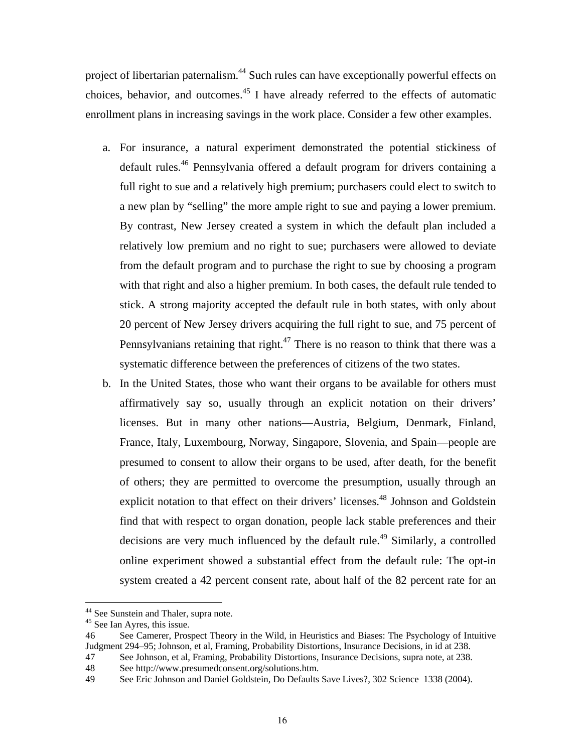project of libertarian paternalism.<sup>44</sup> Such rules can have exceptionally powerful effects on choices, behavior, and outcomes.<sup>45</sup> I have already referred to the effects of automatic enrollment plans in increasing savings in the work place. Consider a few other examples.

- a. For insurance, a natural experiment demonstrated the potential stickiness of default rules.<sup>46</sup> Pennsylvania offered a default program for drivers containing a full right to sue and a relatively high premium; purchasers could elect to switch to a new plan by "selling" the more ample right to sue and paying a lower premium. By contrast, New Jersey created a system in which the default plan included a relatively low premium and no right to sue; purchasers were allowed to deviate from the default program and to purchase the right to sue by choosing a program with that right and also a higher premium. In both cases, the default rule tended to stick. A strong majority accepted the default rule in both states, with only about 20 percent of New Jersey drivers acquiring the full right to sue, and 75 percent of Pennsylvanians retaining that right.<sup>47</sup> There is no reason to think that there was a systematic difference between the preferences of citizens of the two states.
- b. In the United States, those who want their organs to be available for others must affirmatively say so, usually through an explicit notation on their drivers' licenses. But in many other nations—Austria, Belgium, Denmark, Finland, France, Italy, Luxembourg, Norway, Singapore, Slovenia, and Spain—people are presumed to consent to allow their organs to be used, after death, for the benefit of others; they are permitted to overcome the presumption, usually through an explicit notation to that effect on their drivers' licenses.<sup>48</sup> Johnson and Goldstein find that with respect to organ donation, people lack stable preferences and their decisions are very much influenced by the default rule.<sup>49</sup> Similarly, a controlled online experiment showed a substantial effect from the default rule: The opt-in system created a 42 percent consent rate, about half of the 82 percent rate for an

<sup>&</sup>lt;sup>44</sup> See Sunstein and Thaler, supra note.

<sup>&</sup>lt;sup>45</sup> See Ian Ayres, this issue.

<sup>46</sup> See Camerer, Prospect Theory in the Wild, in Heuristics and Biases: The Psychology of Intuitive Judgment 294–95; Johnson, et al, Framing, Probability Distortions, Insurance Decisions, in id at 238.

<sup>47</sup> See Johnson, et al, Framing, Probability Distortions, Insurance Decisions, supra note, at 238.

<sup>48</sup> See http://www.presumedconsent.org/solutions.htm.

<sup>49</sup> See Eric Johnson and Daniel Goldstein, Do Defaults Save Lives?, 302 Science 1338 (2004).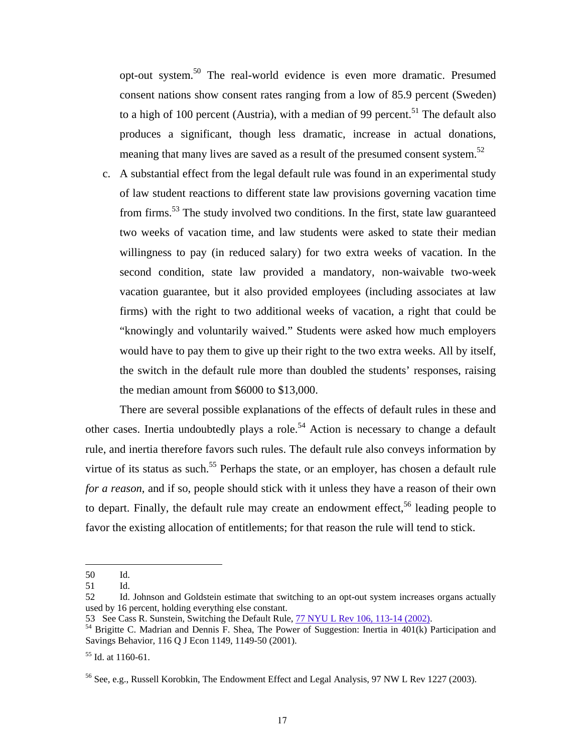opt-out system.50 The real-world evidence is even more dramatic. Presumed consent nations show consent rates ranging from a low of 85.9 percent (Sweden) to a high of 100 percent (Austria), with a median of 99 percent.<sup>51</sup> The default also produces a significant, though less dramatic, increase in actual donations, meaning that many lives are saved as a result of the presumed consent system.<sup>52</sup>

c. A substantial effect from the legal default rule was found in an experimental study of law student reactions to different state law provisions governing vacation time from firms.53 The study involved two conditions. In the first, state law guaranteed two weeks of vacation time, and law students were asked to state their median willingness to pay (in reduced salary) for two extra weeks of vacation. In the second condition, state law provided a mandatory, non-waivable two-week vacation guarantee, but it also provided employees (including associates at law firms) with the right to two additional weeks of vacation, a right that could be "knowingly and voluntarily waived." Students were asked how much employers would have to pay them to give up their right to the two extra weeks. All by itself, the switch in the default rule more than doubled the students' responses, raising the median amount from \$6000 to \$13,000.

There are several possible explanations of the effects of default rules in these and other cases. Inertia undoubtedly plays a role.<sup>54</sup> Action is necessary to change a default rule, and inertia therefore favors such rules. The default rule also conveys information by virtue of its status as such.<sup>55</sup> Perhaps the state, or an employer, has chosen a default rule *for a reason*, and if so, people should stick with it unless they have a reason of their own to depart. Finally, the default rule may create an endowment effect,<sup>56</sup> leading people to favor the existing allocation of entitlements; for that reason the rule will tend to stick.

<sup>50</sup> Id.

<sup>51</sup> Id.

<sup>52</sup> Id. Johnson and Goldstein estimate that switching to an opt-out system increases organs actually used by 16 percent, holding everything else constant.<br>53 See Cass R. Sunstein, Switching the Default Rule, 77 NYU L Rev 106, 113-14 (2002).

<sup>&</sup>lt;sup>54</sup> Brigitte C. Madrian and Dennis F. Shea, The Power of Suggestion: Inertia in 401(k) Participation and Savings Behavior, 116 Q J Econ 1149, 1149-50 (2001).

 $55$  Id. at 1160-61.

<sup>&</sup>lt;sup>56</sup> See, e.g., Russell Korobkin, The Endowment Effect and Legal Analysis, 97 NW L Rev 1227 (2003).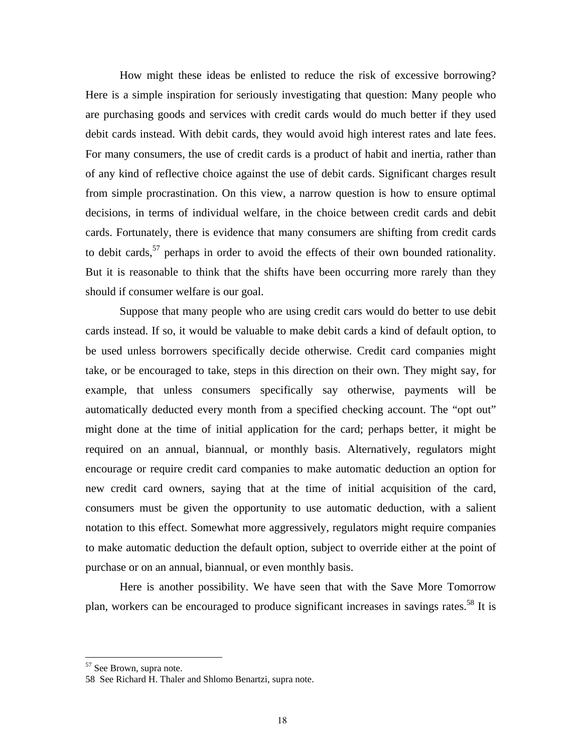How might these ideas be enlisted to reduce the risk of excessive borrowing? Here is a simple inspiration for seriously investigating that question: Many people who are purchasing goods and services with credit cards would do much better if they used debit cards instead. With debit cards, they would avoid high interest rates and late fees. For many consumers, the use of credit cards is a product of habit and inertia, rather than of any kind of reflective choice against the use of debit cards. Significant charges result from simple procrastination. On this view, a narrow question is how to ensure optimal decisions, in terms of individual welfare, in the choice between credit cards and debit cards. Fortunately, there is evidence that many consumers are shifting from credit cards to debit cards,  $57$  perhaps in order to avoid the effects of their own bounded rationality. But it is reasonable to think that the shifts have been occurring more rarely than they should if consumer welfare is our goal.

Suppose that many people who are using credit cars would do better to use debit cards instead. If so, it would be valuable to make debit cards a kind of default option, to be used unless borrowers specifically decide otherwise. Credit card companies might take, or be encouraged to take, steps in this direction on their own. They might say, for example, that unless consumers specifically say otherwise, payments will be automatically deducted every month from a specified checking account. The "opt out" might done at the time of initial application for the card; perhaps better, it might be required on an annual, biannual, or monthly basis. Alternatively, regulators might encourage or require credit card companies to make automatic deduction an option for new credit card owners, saying that at the time of initial acquisition of the card, consumers must be given the opportunity to use automatic deduction, with a salient notation to this effect. Somewhat more aggressively, regulators might require companies to make automatic deduction the default option, subject to override either at the point of purchase or on an annual, biannual, or even monthly basis.

Here is another possibility. We have seen that with the Save More Tomorrow plan, workers can be encouraged to produce significant increases in savings rates.<sup>58</sup> It is

1

<sup>&</sup>lt;sup>57</sup> See Brown, supra note.

<sup>58</sup> See Richard H. Thaler and Shlomo Benartzi, supra note.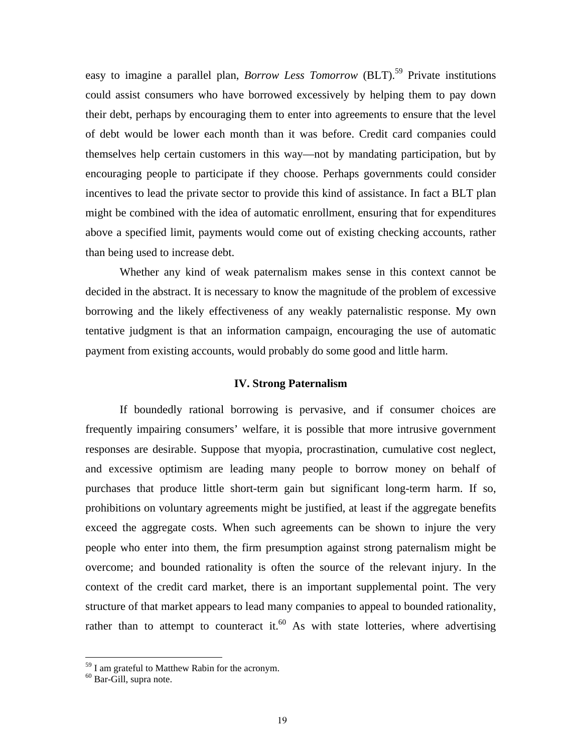easy to imagine a parallel plan, *Borrow Less Tomorrow* (BLT).<sup>59</sup> Private institutions could assist consumers who have borrowed excessively by helping them to pay down their debt, perhaps by encouraging them to enter into agreements to ensure that the level of debt would be lower each month than it was before. Credit card companies could themselves help certain customers in this way—not by mandating participation, but by encouraging people to participate if they choose. Perhaps governments could consider incentives to lead the private sector to provide this kind of assistance. In fact a BLT plan might be combined with the idea of automatic enrollment, ensuring that for expenditures above a specified limit, payments would come out of existing checking accounts, rather than being used to increase debt.

 Whether any kind of weak paternalism makes sense in this context cannot be decided in the abstract. It is necessary to know the magnitude of the problem of excessive borrowing and the likely effectiveness of any weakly paternalistic response. My own tentative judgment is that an information campaign, encouraging the use of automatic payment from existing accounts, would probably do some good and little harm.

#### **IV. Strong Paternalism**

If boundedly rational borrowing is pervasive, and if consumer choices are frequently impairing consumers' welfare, it is possible that more intrusive government responses are desirable. Suppose that myopia, procrastination, cumulative cost neglect, and excessive optimism are leading many people to borrow money on behalf of purchases that produce little short-term gain but significant long-term harm. If so, prohibitions on voluntary agreements might be justified, at least if the aggregate benefits exceed the aggregate costs. When such agreements can be shown to injure the very people who enter into them, the firm presumption against strong paternalism might be overcome; and bounded rationality is often the source of the relevant injury. In the context of the credit card market, there is an important supplemental point. The very structure of that market appears to lead many companies to appeal to bounded rationality, rather than to attempt to counteract it. $60$  As with state lotteries, where advertising

 $59$  I am grateful to Matthew Rabin for the acronym.

<sup>&</sup>lt;sup>60</sup> Bar-Gill, supra note.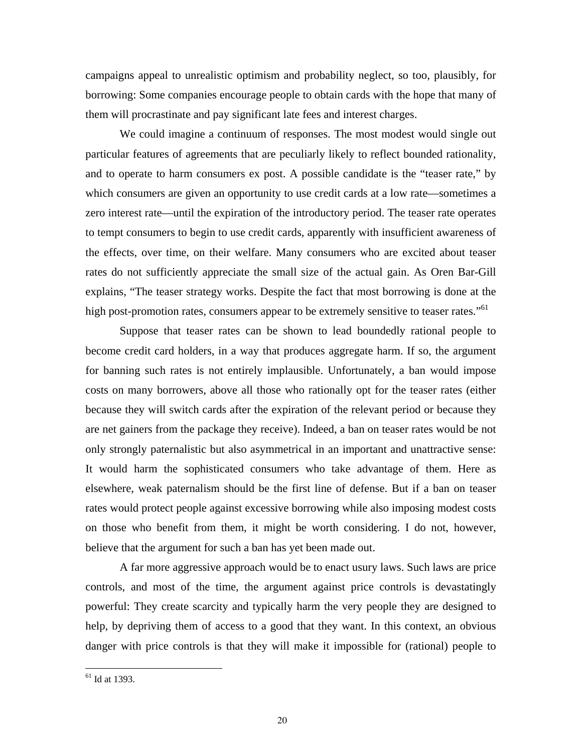campaigns appeal to unrealistic optimism and probability neglect, so too, plausibly, for borrowing: Some companies encourage people to obtain cards with the hope that many of them will procrastinate and pay significant late fees and interest charges.

We could imagine a continuum of responses. The most modest would single out particular features of agreements that are peculiarly likely to reflect bounded rationality, and to operate to harm consumers ex post. A possible candidate is the "teaser rate," by which consumers are given an opportunity to use credit cards at a low rate—sometimes a zero interest rate—until the expiration of the introductory period. The teaser rate operates to tempt consumers to begin to use credit cards, apparently with insufficient awareness of the effects, over time, on their welfare. Many consumers who are excited about teaser rates do not sufficiently appreciate the small size of the actual gain. As Oren Bar-Gill explains, "The teaser strategy works. Despite the fact that most borrowing is done at the high post-promotion rates, consumers appear to be extremely sensitive to teaser rates."<sup>61</sup>

Suppose that teaser rates can be shown to lead boundedly rational people to become credit card holders, in a way that produces aggregate harm. If so, the argument for banning such rates is not entirely implausible. Unfortunately, a ban would impose costs on many borrowers, above all those who rationally opt for the teaser rates (either because they will switch cards after the expiration of the relevant period or because they are net gainers from the package they receive). Indeed, a ban on teaser rates would be not only strongly paternalistic but also asymmetrical in an important and unattractive sense: It would harm the sophisticated consumers who take advantage of them. Here as elsewhere, weak paternalism should be the first line of defense. But if a ban on teaser rates would protect people against excessive borrowing while also imposing modest costs on those who benefit from them, it might be worth considering. I do not, however, believe that the argument for such a ban has yet been made out.

A far more aggressive approach would be to enact usury laws. Such laws are price controls, and most of the time, the argument against price controls is devastatingly powerful: They create scarcity and typically harm the very people they are designed to help, by depriving them of access to a good that they want. In this context, an obvious danger with price controls is that they will make it impossible for (rational) people to

1

 $<sup>61</sup>$  Id at 1393.</sup>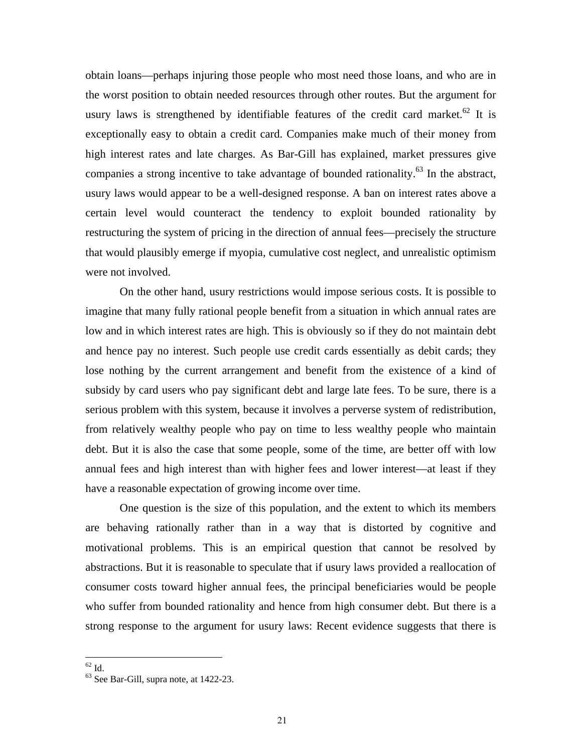obtain loans—perhaps injuring those people who most need those loans, and who are in the worst position to obtain needed resources through other routes. But the argument for usury laws is strengthened by identifiable features of the credit card market.<sup>62</sup> It is exceptionally easy to obtain a credit card. Companies make much of their money from high interest rates and late charges. As Bar-Gill has explained, market pressures give companies a strong incentive to take advantage of bounded rationality.<sup>63</sup> In the abstract, usury laws would appear to be a well-designed response. A ban on interest rates above a certain level would counteract the tendency to exploit bounded rationality by restructuring the system of pricing in the direction of annual fees—precisely the structure that would plausibly emerge if myopia, cumulative cost neglect, and unrealistic optimism were not involved.

On the other hand, usury restrictions would impose serious costs. It is possible to imagine that many fully rational people benefit from a situation in which annual rates are low and in which interest rates are high. This is obviously so if they do not maintain debt and hence pay no interest. Such people use credit cards essentially as debit cards; they lose nothing by the current arrangement and benefit from the existence of a kind of subsidy by card users who pay significant debt and large late fees. To be sure, there is a serious problem with this system, because it involves a perverse system of redistribution, from relatively wealthy people who pay on time to less wealthy people who maintain debt. But it is also the case that some people, some of the time, are better off with low annual fees and high interest than with higher fees and lower interest—at least if they have a reasonable expectation of growing income over time.

One question is the size of this population, and the extent to which its members are behaving rationally rather than in a way that is distorted by cognitive and motivational problems. This is an empirical question that cannot be resolved by abstractions. But it is reasonable to speculate that if usury laws provided a reallocation of consumer costs toward higher annual fees, the principal beneficiaries would be people who suffer from bounded rationality and hence from high consumer debt. But there is a strong response to the argument for usury laws: Recent evidence suggests that there is

 $\overline{a}$  $^{62}$  Id.

<sup>63</sup> See Bar-Gill, supra note, at 1422-23.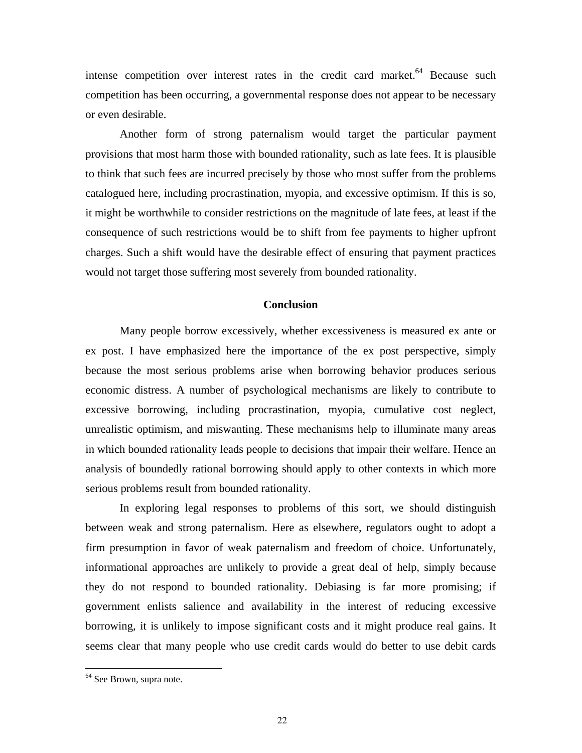intense competition over interest rates in the credit card market.<sup>64</sup> Because such competition has been occurring, a governmental response does not appear to be necessary or even desirable.

Another form of strong paternalism would target the particular payment provisions that most harm those with bounded rationality, such as late fees. It is plausible to think that such fees are incurred precisely by those who most suffer from the problems catalogued here, including procrastination, myopia, and excessive optimism. If this is so, it might be worthwhile to consider restrictions on the magnitude of late fees, at least if the consequence of such restrictions would be to shift from fee payments to higher upfront charges. Such a shift would have the desirable effect of ensuring that payment practices would not target those suffering most severely from bounded rationality.

#### **Conclusion**

Many people borrow excessively, whether excessiveness is measured ex ante or ex post. I have emphasized here the importance of the ex post perspective, simply because the most serious problems arise when borrowing behavior produces serious economic distress. A number of psychological mechanisms are likely to contribute to excessive borrowing, including procrastination, myopia, cumulative cost neglect, unrealistic optimism, and miswanting. These mechanisms help to illuminate many areas in which bounded rationality leads people to decisions that impair their welfare. Hence an analysis of boundedly rational borrowing should apply to other contexts in which more serious problems result from bounded rationality.

In exploring legal responses to problems of this sort, we should distinguish between weak and strong paternalism. Here as elsewhere, regulators ought to adopt a firm presumption in favor of weak paternalism and freedom of choice. Unfortunately, informational approaches are unlikely to provide a great deal of help, simply because they do not respond to bounded rationality. Debiasing is far more promising; if government enlists salience and availability in the interest of reducing excessive borrowing, it is unlikely to impose significant costs and it might produce real gains. It seems clear that many people who use credit cards would do better to use debit cards

<sup>&</sup>lt;sup>64</sup> See Brown, supra note.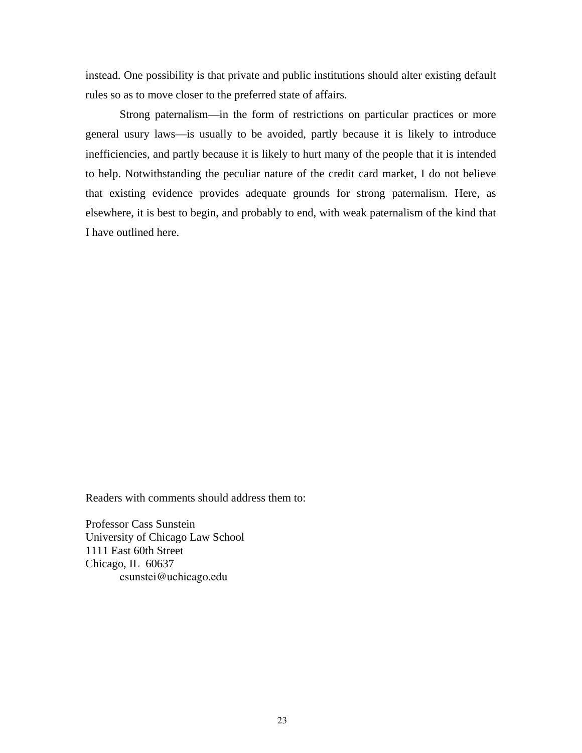instead. One possibility is that private and public institutions should alter existing default rules so as to move closer to the preferred state of affairs.

Strong paternalism—in the form of restrictions on particular practices or more general usury laws—is usually to be avoided, partly because it is likely to introduce inefficiencies, and partly because it is likely to hurt many of the people that it is intended to help. Notwithstanding the peculiar nature of the credit card market, I do not believe that existing evidence provides adequate grounds for strong paternalism. Here, as elsewhere, it is best to begin, and probably to end, with weak paternalism of the kind that I have outlined here.

Readers with comments should address them to:

Professor Cass Sunstein University of Chicago Law School 1111 East 60th Street Chicago, IL 60637 csunstei@uchicago.edu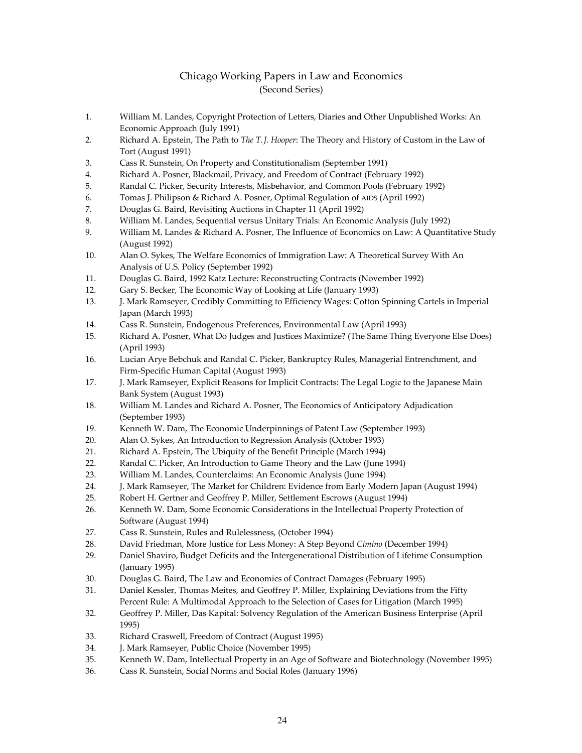#### Chicago Working Papers in Law and Economics (Second Series)

- 1. William M. Landes, Copyright Protection of Letters, Diaries and Other Unpublished Works: An Economic Approach (July 1991)
- 2. Richard A. Epstein, The Path to *The T.J. Hooper*: The Theory and History of Custom in the Law of Tort (August 1991)
- 3. Cass R. Sunstein, On Property and Constitutionalism (September 1991)
- 4. Richard A. Posner, Blackmail, Privacy, and Freedom of Contract (February 1992)
- 5. Randal C. Picker, Security Interests, Misbehavior, and Common Pools (February 1992)
- 6. Tomas J. Philipson & Richard A. Posner, Optimal Regulation of AIDS (April 1992)
- 7. Douglas G. Baird, Revisiting Auctions in Chapter 11 (April 1992)
- 8. William M. Landes, Sequential versus Unitary Trials: An Economic Analysis (July 1992)
- 9. William M. Landes & Richard A. Posner, The Influence of Economics on Law: A Quantitative Study (August 1992)
- 10. Alan O. Sykes, The Welfare Economics of Immigration Law: A Theoretical Survey With An Analysis of U.S. Policy (September 1992)
- 11. Douglas G. Baird, 1992 Katz Lecture: Reconstructing Contracts (November 1992)
- 12. Gary S. Becker, The Economic Way of Looking at Life (January 1993)
- 13. J. Mark Ramseyer, Credibly Committing to Efficiency Wages: Cotton Spinning Cartels in Imperial Japan (March 1993)
- 14. Cass R. Sunstein, Endogenous Preferences, Environmental Law (April 1993)
- 15. Richard A. Posner, What Do Judges and Justices Maximize? (The Same Thing Everyone Else Does) (April 1993)
- 16. Lucian Arye Bebchuk and Randal C. Picker, Bankruptcy Rules, Managerial Entrenchment, and Firm‐Specific Human Capital (August 1993)
- 17. J. Mark Ramseyer, Explicit Reasons for Implicit Contracts: The Legal Logic to the Japanese Main Bank System (August 1993)
- 18. William M. Landes and Richard A. Posner, The Economics of Anticipatory Adjudication (September 1993)
- 19. Kenneth W. Dam, The Economic Underpinnings of Patent Law (September 1993)
- 20. Alan O. Sykes, An Introduction to Regression Analysis (October 1993)
- 21. Richard A. Epstein, The Ubiquity of the Benefit Principle (March 1994)
- 22. Randal C. Picker, An Introduction to Game Theory and the Law (June 1994)
- 23. William M. Landes, Counterclaims: An Economic Analysis (June 1994)
- 24. J. Mark Ramseyer, The Market for Children: Evidence from Early Modern Japan (August 1994)
- 25. Robert H. Gertner and Geoffrey P. Miller, Settlement Escrows (August 1994)
- 26. Kenneth W. Dam, Some Economic Considerations in the Intellectual Property Protection of Software (August 1994)
- 27. Cass R. Sunstein, Rules and Rulelessness, (October 1994)
- 28. David Friedman, More Justice for Less Money: A Step Beyond *Cimino* (December 1994)
- 29. Daniel Shaviro, Budget Deficits and the Intergenerational Distribution of Lifetime Consumption (January 1995)
- 30. Douglas G. Baird, The Law and Economics of Contract Damages (February 1995)
- 31. Daniel Kessler, Thomas Meites, and Geoffrey P. Miller, Explaining Deviations from the Fifty Percent Rule: A Multimodal Approach to the Selection of Cases for Litigation (March 1995)
- 32. Geoffrey P. Miller, Das Kapital: Solvency Regulation of the American Business Enterprise (April 1995)
- 33. Richard Craswell, Freedom of Contract (August 1995)
- 34. J. Mark Ramseyer, Public Choice (November 1995)
- 35. Kenneth W. Dam, Intellectual Property in an Age of Software and Biotechnology (November 1995)
- 36. Cass R. Sunstein, Social Norms and Social Roles (January 1996)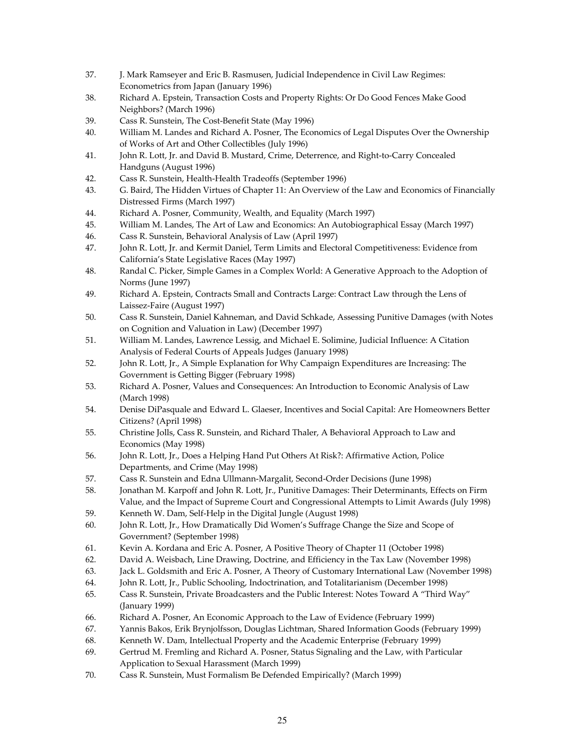- 37. J. Mark Ramseyer and Eric B. Rasmusen, Judicial Independence in Civil Law Regimes: Econometrics from Japan (January 1996)
- 38. Richard A. Epstein, Transaction Costs and Property Rights: Or Do Good Fences Make Good Neighbors? (March 1996)
- 39. Cass R. Sunstein, The Cost‐Benefit State (May 1996)
- 40. William M. Landes and Richard A. Posner, The Economics of Legal Disputes Over the Ownership of Works of Art and Other Collectibles (July 1996)
- 41. John R. Lott, Jr. and David B. Mustard, Crime, Deterrence, and Right-to-Carry Concealed Handguns (August 1996)
- 42. Cass R. Sunstein, Health‐Health Tradeoffs (September 1996)
- 43. G. Baird, The Hidden Virtues of Chapter 11: An Overview of the Law and Economics of Financially Distressed Firms (March 1997)
- 44. Richard A. Posner, Community, Wealth, and Equality (March 1997)
- 45. William M. Landes, The Art of Law and Economics: An Autobiographical Essay (March 1997)
- 46. Cass R. Sunstein, Behavioral Analysis of Law (April 1997)
- 47. John R. Lott, Jr. and Kermit Daniel, Term Limits and Electoral Competitiveness: Evidence from California's State Legislative Races (May 1997)
- 48. Randal C. Picker, Simple Games in a Complex World: A Generative Approach to the Adoption of Norms (June 1997)
- 49. Richard A. Epstein, Contracts Small and Contracts Large: Contract Law through the Lens of Laissez‐Faire (August 1997)
- 50. Cass R. Sunstein, Daniel Kahneman, and David Schkade, Assessing Punitive Damages (with Notes on Cognition and Valuation in Law) (December 1997)
- 51. William M. Landes, Lawrence Lessig, and Michael E. Solimine, Judicial Influence: A Citation Analysis of Federal Courts of Appeals Judges (January 1998)
- 52. John R. Lott, Jr., A Simple Explanation for Why Campaign Expenditures are Increasing: The Government is Getting Bigger (February 1998)
- 53. Richard A. Posner, Values and Consequences: An Introduction to Economic Analysis of Law (March 1998)
- 54. Denise DiPasquale and Edward L. Glaeser, Incentives and Social Capital: Are Homeowners Better Citizens? (April 1998)
- 55. Christine Jolls, Cass R. Sunstein, and Richard Thaler, A Behavioral Approach to Law and Economics (May 1998)
- 56. John R. Lott, Jr., Does a Helping Hand Put Others At Risk?: Affirmative Action, Police Departments, and Crime (May 1998)
- 57. Cass R. Sunstein and Edna Ullmann‐Margalit, Second‐Order Decisions (June 1998)
- 58. Jonathan M. Karpoff and John R. Lott, Jr., Punitive Damages: Their Determinants, Effects on Firm Value, and the Impact of Supreme Court and Congressional Attempts to Limit Awards (July 1998)
- 59. Kenneth W. Dam, Self-Help in the Digital Jungle (August 1998)
- 60. John R. Lott, Jr., How Dramatically Did Women's Suffrage Change the Size and Scope of Government? (September 1998)
- 61. Kevin A. Kordana and Eric A. Posner, A Positive Theory of Chapter 11 (October 1998)
- 62. David A. Weisbach, Line Drawing, Doctrine, and Efficiency in the Tax Law (November 1998)
- 63. Jack L. Goldsmith and Eric A. Posner, A Theory of Customary International Law (November 1998)
- 64. John R. Lott, Jr., Public Schooling, Indoctrination, and Totalitarianism (December 1998)
- 65. Cass R. Sunstein, Private Broadcasters and the Public Interest: Notes Toward A "Third Way" (January 1999)
- 66. Richard A. Posner, An Economic Approach to the Law of Evidence (February 1999)
- 67. Yannis Bakos, Erik Brynjolfsson, Douglas Lichtman, Shared Information Goods (February 1999)
- 68. Kenneth W. Dam, Intellectual Property and the Academic Enterprise (February 1999)
- 69. Gertrud M. Fremling and Richard A. Posner, Status Signaling and the Law, with Particular Application to Sexual Harassment (March 1999)
- 70. Cass R. Sunstein, Must Formalism Be Defended Empirically? (March 1999)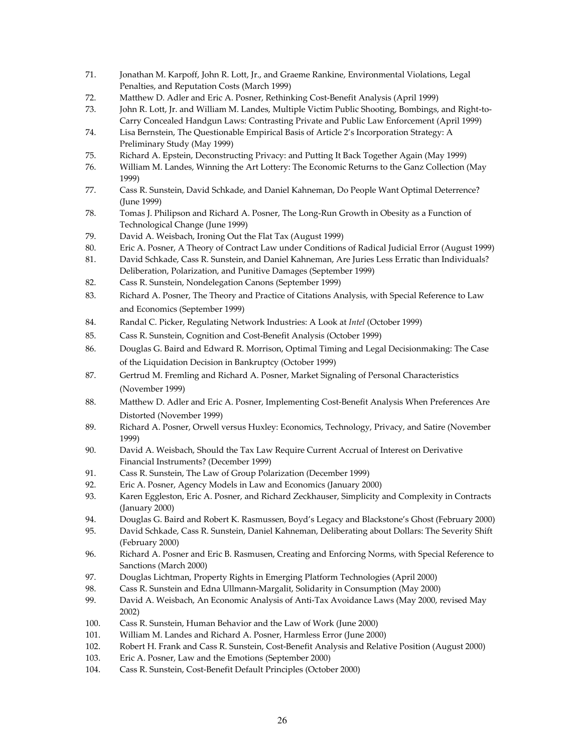- 71. Jonathan M. Karpoff, John R. Lott, Jr., and Graeme Rankine, Environmental Violations, Legal Penalties, and Reputation Costs (March 1999)
- 72. Matthew D. Adler and Eric A. Posner, Rethinking Cost‐Benefit Analysis (April 1999)
- 73. John R. Lott, Jr. and William M. Landes, Multiple Victim Public Shooting, Bombings, and Right-to-Carry Concealed Handgun Laws: Contrasting Private and Public Law Enforcement (April 1999)
- 74. Lisa Bernstein, The Questionable Empirical Basis of Article 2's Incorporation Strategy: A Preliminary Study (May 1999)
- 75. Richard A. Epstein, Deconstructing Privacy: and Putting It Back Together Again (May 1999)
- 76. William M. Landes, Winning the Art Lottery: The Economic Returns to the Ganz Collection (May 1999)
- 77. Cass R. Sunstein, David Schkade, and Daniel Kahneman, Do People Want Optimal Deterrence? (June 1999)
- 78. Tomas J. Philipson and Richard A. Posner, The Long-Run Growth in Obesity as a Function of Technological Change (June 1999)
- 79. David A. Weisbach, Ironing Out the Flat Tax (August 1999)
- 80. Eric A. Posner, A Theory of Contract Law under Conditions of Radical Judicial Error (August 1999)
- 81. David Schkade, Cass R. Sunstein, and Daniel Kahneman, Are Juries Less Erratic than Individuals? Deliberation, Polarization, and Punitive Damages (September 1999)
- 82. Cass R. Sunstein, Nondelegation Canons (September 1999)
- 83. Richard A. Posner, The Theory and Practice of Citations Analysis, with Special Reference to Law and Economics (September 1999)
- 84. Randal C. Picker, Regulating Network Industries: A Look at *Intel* (October 1999)
- 85. Cass R. Sunstein, Cognition and Cost‐Benefit Analysis (October 1999)
- 86. Douglas G. Baird and Edward R. Morrison, Optimal Timing and Legal Decisionmaking: The Case of the Liquidation Decision in Bankruptcy (October 1999)
- 87. Gertrud M. Fremling and Richard A. Posner, Market Signaling of Personal Characteristics (November 1999)
- 88. Matthew D. Adler and Eric A. Posner, Implementing Cost-Benefit Analysis When Preferences Are Distorted (November 1999)
- 89. Richard A. Posner, Orwell versus Huxley: Economics, Technology, Privacy, and Satire (November 1999)
- 90. David A. Weisbach, Should the Tax Law Require Current Accrual of Interest on Derivative Financial Instruments? (December 1999)
- 91. Cass R. Sunstein, The Law of Group Polarization (December 1999)
- 92. Eric A. Posner, Agency Models in Law and Economics (January 2000)
- 93. Karen Eggleston, Eric A. Posner, and Richard Zeckhauser, Simplicity and Complexity in Contracts (January 2000)
- 94. Douglas G. Baird and Robert K. Rasmussen, Boyd's Legacy and Blackstone's Ghost (February 2000)
- 95. David Schkade, Cass R. Sunstein, Daniel Kahneman, Deliberating about Dollars: The Severity Shift (February 2000)
- 96. Richard A. Posner and Eric B. Rasmusen, Creating and Enforcing Norms, with Special Reference to Sanctions (March 2000)
- 97. Douglas Lichtman, Property Rights in Emerging Platform Technologies (April 2000)
- 98. Cass R. Sunstein and Edna Ullmann-Margalit, Solidarity in Consumption (May 2000)
- 99. David A. Weisbach, An Economic Analysis of Anti-Tax Avoidance Laws (May 2000, revised May 2002)
- 100. Cass R. Sunstein, Human Behavior and the Law of Work (June 2000)
- 101. William M. Landes and Richard A. Posner, Harmless Error (June 2000)
- 102. Robert H. Frank and Cass R. Sunstein, Cost-Benefit Analysis and Relative Position (August 2000)
- 103. Eric A. Posner, Law and the Emotions (September 2000)
- 104. Cass R. Sunstein, Cost-Benefit Default Principles (October 2000)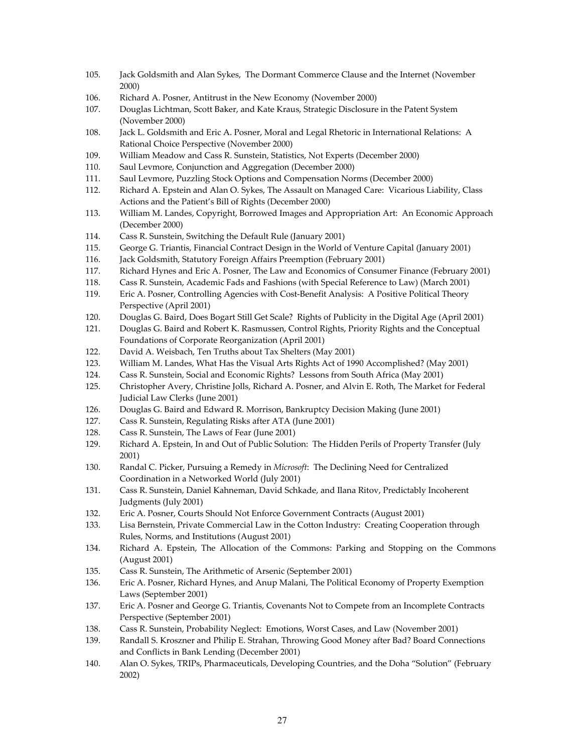- 105. Jack Goldsmith and Alan Sykes, The Dormant Commerce Clause and the Internet (November 2000)
- 106. Richard A. Posner, Antitrust in the New Economy (November 2000)
- 107. Douglas Lichtman, Scott Baker, and Kate Kraus, Strategic Disclosure in the Patent System (November 2000)
- 108. Jack L. Goldsmith and Eric A. Posner, Moral and Legal Rhetoric in International Relations: A Rational Choice Perspective (November 2000)
- 109. William Meadow and Cass R. Sunstein, Statistics, Not Experts (December 2000)
- 110. Saul Levmore, Conjunction and Aggregation (December 2000)
- 111. Saul Levmore, Puzzling Stock Options and Compensation Norms (December 2000)
- 112. Richard A. Epstein and Alan O. Sykes, The Assault on Managed Care: Vicarious Liability, Class Actions and the Patient's Bill of Rights (December 2000)
- 113. William M. Landes, Copyright, Borrowed Images and Appropriation Art: An Economic Approach (December 2000)
- 114. Cass R. Sunstein, Switching the Default Rule (January 2001)
- 115. George G. Triantis, Financial Contract Design in the World of Venture Capital (January 2001)
- 116. Jack Goldsmith, Statutory Foreign Affairs Preemption (February 2001)
- 117. Richard Hynes and Eric A. Posner, The Law and Economics of Consumer Finance (February 2001)
- 118. Cass R. Sunstein, Academic Fads and Fashions (with Special Reference to Law) (March 2001)
- 119. Eric A. Posner, Controlling Agencies with Cost-Benefit Analysis: A Positive Political Theory Perspective (April 2001)
- 120. Douglas G. Baird, Does Bogart Still Get Scale? Rights of Publicity in the Digital Age (April 2001)
- 121. Douglas G. Baird and Robert K. Rasmussen, Control Rights, Priority Rights and the Conceptual Foundations of Corporate Reorganization (April 2001)
- 122. David A. Weisbach, Ten Truths about Tax Shelters (May 2001)
- 123. William M. Landes, What Has the Visual Arts Rights Act of 1990 Accomplished? (May 2001)
- 124. Cass R. Sunstein, Social and Economic Rights? Lessons from South Africa (May 2001)
- 125. Christopher Avery, Christine Jolls, Richard A. Posner, and Alvin E. Roth, The Market for Federal Judicial Law Clerks (June 2001)
- 126. Douglas G. Baird and Edward R. Morrison, Bankruptcy Decision Making (June 2001)
- 127. Cass R. Sunstein, Regulating Risks after ATA (June 2001)
- 128. Cass R. Sunstein, The Laws of Fear (June 2001)
- 129. Richard A. Epstein, In and Out of Public Solution: The Hidden Perils of Property Transfer (July 2001)
- 130. Randal C. Picker, Pursuing a Remedy in *Microsoft*: The Declining Need for Centralized Coordination in a Networked World (July 2001)
- 131. Cass R. Sunstein, Daniel Kahneman, David Schkade, and Ilana Ritov, Predictably Incoherent Judgments (July 2001)
- 132. Eric A. Posner, Courts Should Not Enforce Government Contracts (August 2001)
- 133. Lisa Bernstein, Private Commercial Law in the Cotton Industry: Creating Cooperation through Rules, Norms, and Institutions (August 2001)
- 134. Richard A. Epstein, The Allocation of the Commons: Parking and Stopping on the Commons (August 2001)
- 135. Cass R. Sunstein, The Arithmetic of Arsenic (September 2001)
- 136. Eric A. Posner, Richard Hynes, and Anup Malani, The Political Economy of Property Exemption Laws (September 2001)
- 137. Eric A. Posner and George G. Triantis, Covenants Not to Compete from an Incomplete Contracts Perspective (September 2001)
- 138. Cass R. Sunstein, Probability Neglect: Emotions, Worst Cases, and Law (November 2001)
- 139. Randall S. Kroszner and Philip E. Strahan, Throwing Good Money after Bad? Board Connections and Conflicts in Bank Lending (December 2001)
- 140. Alan O. Sykes, TRIPs, Pharmaceuticals, Developing Countries, and the Doha "Solution" (February 2002)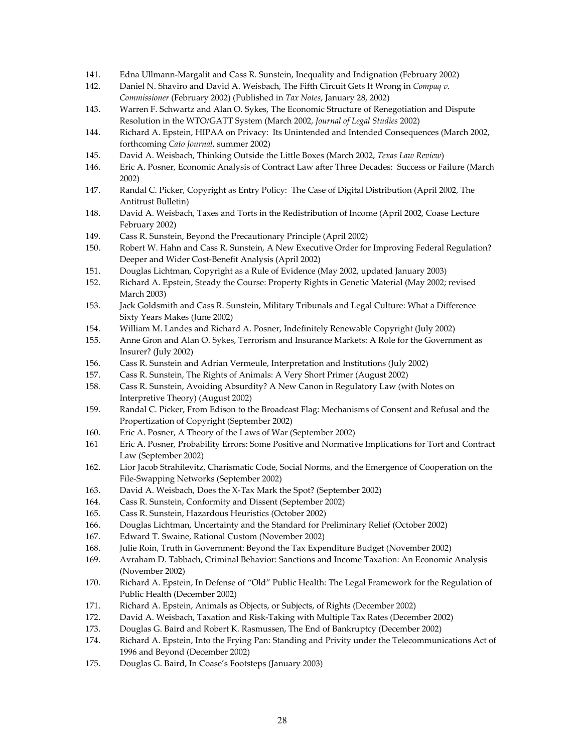- 141. Edna Ullmann‐Margalit and Cass R. Sunstein, Inequality and Indignation (February 2002)
- 142. Daniel N. Shaviro and David A. Weisbach, The Fifth Circuit Gets It Wrong in *Compaq v. Commissioner* (February 2002) (Published in *Tax Notes*, January 28, 2002)
- 143. Warren F. Schwartz and Alan O. Sykes, The Economic Structure of Renegotiation and Dispute Resolution in the WTO/GATT System (March 2002, *Journal of Legal Studies* 2002)
- 144. Richard A. Epstein, HIPAA on Privacy: Its Unintended and Intended Consequences (March 2002, forthcoming *Cato Journal*, summer 2002)
- 145. David A. Weisbach, Thinking Outside the Little Boxes (March 2002, *Texas Law Review*)
- 146. Eric A. Posner, Economic Analysis of Contract Law after Three Decades: Success or Failure (March 2002)
- 147. Randal C. Picker, Copyright as Entry Policy: The Case of Digital Distribution (April 2002, The Antitrust Bulletin)
- 148. David A. Weisbach, Taxes and Torts in the Redistribution of Income (April 2002, Coase Lecture February 2002)
- 149. Cass R. Sunstein, Beyond the Precautionary Principle (April 2002)
- 150. Robert W. Hahn and Cass R. Sunstein, A New Executive Order for Improving Federal Regulation? Deeper and Wider Cost‐Benefit Analysis (April 2002)
- 151. Douglas Lichtman, Copyright as a Rule of Evidence (May 2002, updated January 2003)
- 152. Richard A. Epstein, Steady the Course: Property Rights in Genetic Material (May 2002; revised March 2003)
- 153. Jack Goldsmith and Cass R. Sunstein, Military Tribunals and Legal Culture: What a Difference Sixty Years Makes (June 2002)
- 154. William M. Landes and Richard A. Posner, Indefinitely Renewable Copyright (July 2002)
- 155. Anne Gron and Alan O. Sykes, Terrorism and Insurance Markets: A Role for the Government as Insurer? (July 2002)
- 156. Cass R. Sunstein and Adrian Vermeule, Interpretation and Institutions (July 2002)
- 157. Cass R. Sunstein, The Rights of Animals: A Very Short Primer (August 2002)
- 158. Cass R. Sunstein, Avoiding Absurdity? A New Canon in Regulatory Law (with Notes on Interpretive Theory) (August 2002)
- 159. Randal C. Picker, From Edison to the Broadcast Flag: Mechanisms of Consent and Refusal and the Propertization of Copyright (September 2002)
- 160. Eric A. Posner, A Theory of the Laws of War (September 2002)
- 161 Eric A. Posner, Probability Errors: Some Positive and Normative Implications for Tort and Contract Law (September 2002)
- 162. Lior Jacob Strahilevitz, Charismatic Code, Social Norms, and the Emergence of Cooperation on the File‐Swapping Networks (September 2002)
- 163. David A. Weisbach, Does the X‐Tax Mark the Spot? (September 2002)
- 164. Cass R. Sunstein, Conformity and Dissent (September 2002)
- 165. Cass R. Sunstein, Hazardous Heuristics (October 2002)
- 166. Douglas Lichtman, Uncertainty and the Standard for Preliminary Relief (October 2002)
- 167. Edward T. Swaine, Rational Custom (November 2002)
- 168. Julie Roin, Truth in Government: Beyond the Tax Expenditure Budget (November 2002)
- 169. Avraham D. Tabbach, Criminal Behavior: Sanctions and Income Taxation: An Economic Analysis (November 2002)
- 170. Richard A. Epstein, In Defense of "Old" Public Health: The Legal Framework for the Regulation of Public Health (December 2002)
- 171. Richard A. Epstein, Animals as Objects, or Subjects, of Rights (December 2002)
- 172. David A. Weisbach, Taxation and Risk‐Taking with Multiple Tax Rates (December 2002)
- 173. Douglas G. Baird and Robert K. Rasmussen, The End of Bankruptcy (December 2002)
- 174. Richard A. Epstein, Into the Frying Pan: Standing and Privity under the Telecommunications Act of 1996 and Beyond (December 2002)
- 175. Douglas G. Baird, In Coase's Footsteps (January 2003)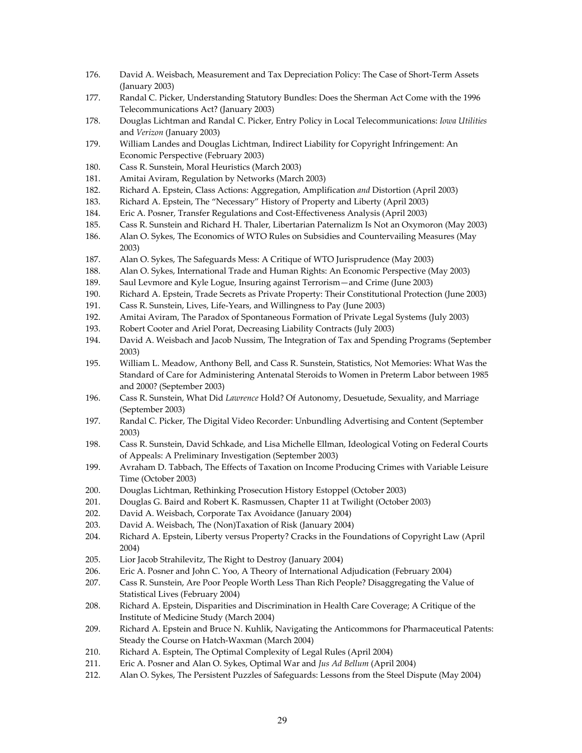- 176. David A. Weisbach, Measurement and Tax Depreciation Policy: The Case of Short‐Term Assets (January 2003)
- 177. Randal C. Picker, Understanding Statutory Bundles: Does the Sherman Act Come with the 1996 Telecommunications Act? (January 2003)
- 178. Douglas Lichtman and Randal C. Picker, Entry Policy in Local Telecommunications: *Iowa Utilities* and *Verizon* (January 2003)
- 179. William Landes and Douglas Lichtman, Indirect Liability for Copyright Infringement: An Economic Perspective (February 2003)
- 180. Cass R. Sunstein, Moral Heuristics (March 2003)
- 181. Amitai Aviram, Regulation by Networks (March 2003)
- 182. Richard A. Epstein, Class Actions: Aggregation, Amplification *and* Distortion (April 2003)
- 183. Richard A. Epstein, The "Necessary" History of Property and Liberty (April 2003)
- 184. Eric A. Posner, Transfer Regulations and Cost‐Effectiveness Analysis (April 2003)
- 185. Cass R. Sunstein and Richard H. Thaler, Libertarian Paternalizm Is Not an Oxymoron (May 2003)
- 186. Alan O. Sykes, The Economics of WTO Rules on Subsidies and Countervailing Measures (May 2003)
- 187. Alan O. Sykes, The Safeguards Mess: A Critique of WTO Jurisprudence (May 2003)
- 188. Alan O. Sykes, International Trade and Human Rights: An Economic Perspective (May 2003)
- 189. Saul Levmore and Kyle Logue, Insuring against Terrorism—and Crime (June 2003)
- 190. Richard A. Epstein, Trade Secrets as Private Property: Their Constitutional Protection (June 2003)
- 191. Cass R. Sunstein, Lives, Life-Years, and Willingness to Pay (June 2003)
- 192. Amitai Aviram, The Paradox of Spontaneous Formation of Private Legal Systems (July 2003)
- 193. Robert Cooter and Ariel Porat, Decreasing Liability Contracts (July 2003)
- 194. David A. Weisbach and Jacob Nussim, The Integration of Tax and Spending Programs (September 2003)
- 195. William L. Meadow, Anthony Bell, and Cass R. Sunstein, Statistics, Not Memories: What Was the Standard of Care for Administering Antenatal Steroids to Women in Preterm Labor between 1985 and 2000? (September 2003)
- 196. Cass R. Sunstein, What Did *Lawrence* Hold? Of Autonomy, Desuetude, Sexuality, and Marriage (September 2003)
- 197. Randal C. Picker, The Digital Video Recorder: Unbundling Advertising and Content (September 2003)
- 198. Cass R. Sunstein, David Schkade, and Lisa Michelle Ellman, Ideological Voting on Federal Courts of Appeals: A Preliminary Investigation (September 2003)
- 199. Avraham D. Tabbach, The Effects of Taxation on Income Producing Crimes with Variable Leisure Time (October 2003)
- 200. Douglas Lichtman, Rethinking Prosecution History Estoppel (October 2003)
- 201. Douglas G. Baird and Robert K. Rasmussen, Chapter 11 at Twilight (October 2003)
- 202. David A. Weisbach, Corporate Tax Avoidance (January 2004)
- 203. David A. Weisbach, The (Non)Taxation of Risk (January 2004)
- 204. Richard A. Epstein, Liberty versus Property? Cracks in the Foundations of Copyright Law (April 2004)
- 205. Lior Jacob Strahilevitz, The Right to Destroy (January 2004)
- 206. Eric A. Posner and John C. Yoo, A Theory of International Adjudication (February 2004)
- 207. Cass R. Sunstein, Are Poor People Worth Less Than Rich People? Disaggregating the Value of Statistical Lives (February 2004)
- 208. Richard A. Epstein, Disparities and Discrimination in Health Care Coverage; A Critique of the Institute of Medicine Study (March 2004)
- 209. Richard A. Epstein and Bruce N. Kuhlik, Navigating the Anticommons for Pharmaceutical Patents: Steady the Course on Hatch‐Waxman (March 2004)
- 210. Richard A. Esptein, The Optimal Complexity of Legal Rules (April 2004)
- 211. Eric A. Posner and Alan O. Sykes, Optimal War and *Jus Ad Bellum* (April 2004)
- 212. Alan O. Sykes, The Persistent Puzzles of Safeguards: Lessons from the Steel Dispute (May 2004)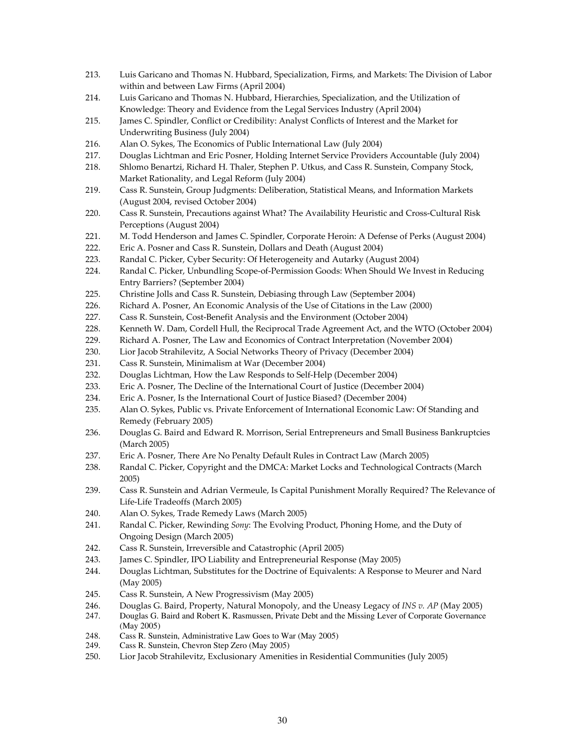- 213. Luis Garicano and Thomas N. Hubbard, Specialization, Firms, and Markets: The Division of Labor within and between Law Firms (April 2004)
- 214. Luis Garicano and Thomas N. Hubbard, Hierarchies, Specialization, and the Utilization of Knowledge: Theory and Evidence from the Legal Services Industry (April 2004)
- 215. James C. Spindler, Conflict or Credibility: Analyst Conflicts of Interest and the Market for Underwriting Business (July 2004)
- 216. Alan O. Sykes, The Economics of Public International Law (July 2004)
- 217. Douglas Lichtman and Eric Posner, Holding Internet Service Providers Accountable (July 2004)
- 218. Shlomo Benartzi, Richard H. Thaler, Stephen P. Utkus, and Cass R. Sunstein, Company Stock, Market Rationality, and Legal Reform (July 2004)
- 219. Cass R. Sunstein, Group Judgments: Deliberation, Statistical Means, and Information Markets (August 2004, revised October 2004)
- 220. Cass R. Sunstein, Precautions against What? The Availability Heuristic and Cross-Cultural Risk Perceptions (August 2004)
- 221. M. Todd Henderson and James C. Spindler, Corporate Heroin: A Defense of Perks (August 2004)
- 222. Eric A. Posner and Cass R. Sunstein, Dollars and Death (August 2004)
- 223. Randal C. Picker, Cyber Security: Of Heterogeneity and Autarky (August 2004)
- 224. Randal C. Picker, Unbundling Scope-of-Permission Goods: When Should We Invest in Reducing Entry Barriers? (September 2004)
- 225. Christine Jolls and Cass R. Sunstein, Debiasing through Law (September 2004)
- 226. Richard A. Posner, An Economic Analysis of the Use of Citations in the Law (2000)
- 227. Cass R. Sunstein, Cost-Benefit Analysis and the Environment (October 2004)
- 228. Kenneth W. Dam, Cordell Hull, the Reciprocal Trade Agreement Act, and the WTO (October 2004)
- 229. Richard A. Posner, The Law and Economics of Contract Interpretation (November 2004)
- 230. Lior Jacob Strahilevitz, A Social Networks Theory of Privacy (December 2004)
- 231. Cass R. Sunstein, Minimalism at War (December 2004)
- 232. Douglas Lichtman, How the Law Responds to Self-Help (December 2004)
- 233. Eric A. Posner, The Decline of the International Court of Justice (December 2004)
- 234. Eric A. Posner, Is the International Court of Justice Biased? (December 2004)
- 235. Alan O. Sykes, Public vs. Private Enforcement of International Economic Law: Of Standing and Remedy (February 2005)
- 236. Douglas G. Baird and Edward R. Morrison, Serial Entrepreneurs and Small Business Bankruptcies (March 2005)
- 237. Eric A. Posner, There Are No Penalty Default Rules in Contract Law (March 2005)
- 238. Randal C. Picker, Copyright and the DMCA: Market Locks and Technological Contracts (March 2005)
- 239. Cass R. Sunstein and Adrian Vermeule, Is Capital Punishment Morally Required? The Relevance of Life‐Life Tradeoffs (March 2005)
- 240. Alan O. Sykes, Trade Remedy Laws (March 2005)
- 241. Randal C. Picker, Rewinding *Sony*: The Evolving Product, Phoning Home, and the Duty of Ongoing Design (March 2005)
- 242. Cass R. Sunstein, Irreversible and Catastrophic (April 2005)
- 243. James C. Spindler, IPO Liability and Entrepreneurial Response (May 2005)
- 244. Douglas Lichtman, Substitutes for the Doctrine of Equivalents: A Response to Meurer and Nard (May 2005)
- 245. Cass R. Sunstein, A New Progressivism (May 2005)
- 246. Douglas G. Baird, Property, Natural Monopoly, and the Uneasy Legacy of *INS v. AP* (May 2005)
- 247. Douglas G. Baird and Robert K. Rasmussen, Private Debt and the Missing Lever of Corporate Governance (May 2005)
- 248. Cass R. Sunstein, Administrative Law Goes to War (May 2005)
- 249. Cass R. Sunstein, Chevron Step Zero (May 2005)
- 250. Lior Jacob Strahilevitz, Exclusionary Amenities in Residential Communities (July 2005)